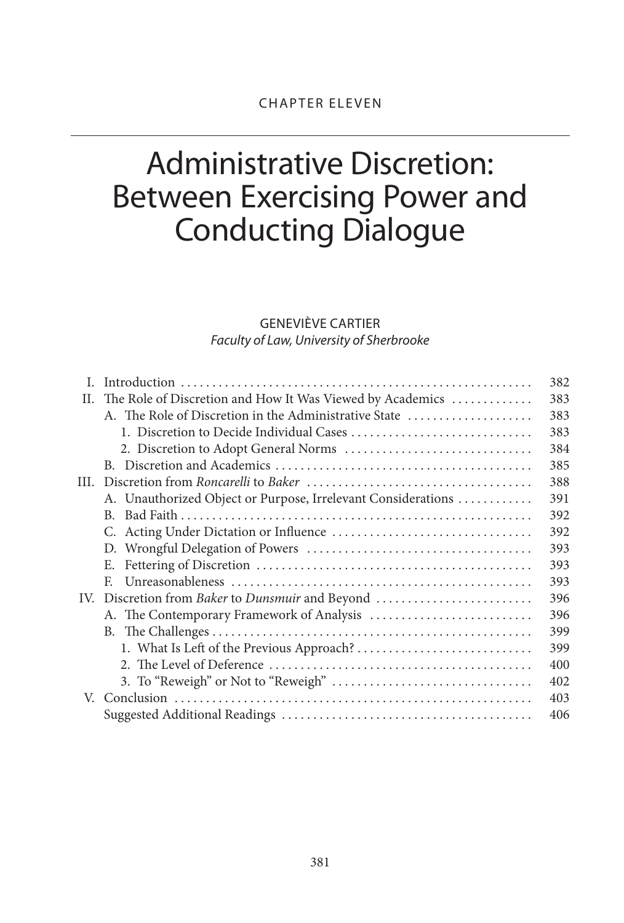# Administrative Discretion: Between Exercising Power and Conducting Dialogue

# GENEVIÈVE CARTIER

# *Faculty of Law, University of Sherbrooke*

|     |                                                               | 382 |
|-----|---------------------------------------------------------------|-----|
|     | II. The Role of Discretion and How It Was Viewed by Academics | 383 |
|     | A. The Role of Discretion in the Administrative State         | 383 |
|     |                                                               | 383 |
|     |                                                               | 384 |
|     |                                                               | 385 |
| HL. |                                                               | 388 |
|     | A. Unauthorized Object or Purpose, Irrelevant Considerations  | 391 |
|     | B.                                                            | 392 |
|     |                                                               | 392 |
|     |                                                               | 393 |
|     | Е.                                                            | 393 |
|     | E.                                                            | 393 |
|     | IV. Discretion from Baker to Dunsmuir and Beyond              | 396 |
|     |                                                               | 396 |
|     |                                                               | 399 |
|     |                                                               | 399 |
|     |                                                               | 400 |
|     |                                                               | 402 |
|     |                                                               | 403 |
|     |                                                               | 406 |
|     |                                                               |     |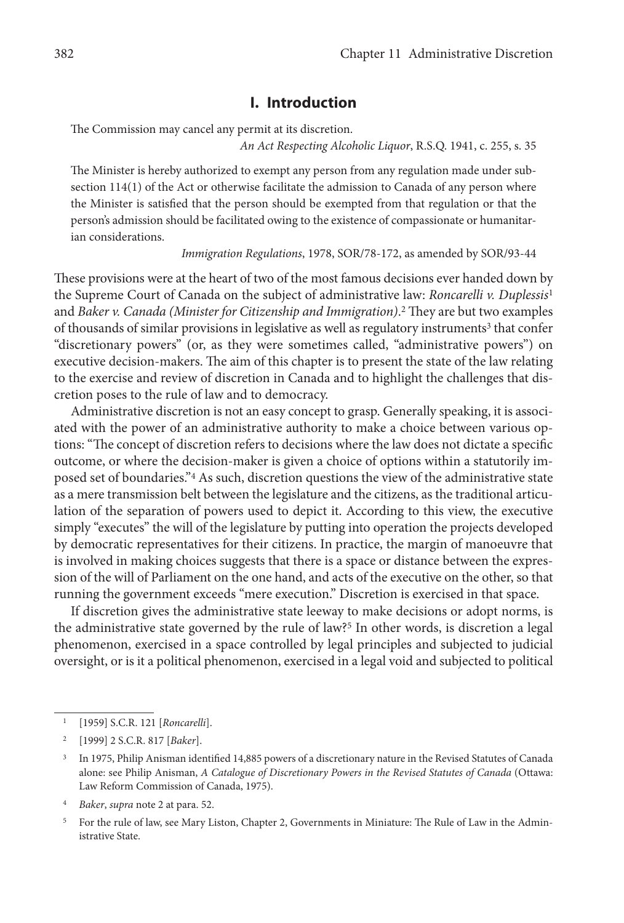# **I. Introduction**

<span id="page-1-0"></span>The Commission may cancel any permit at its discretion.

*An Act Respecting Alcoholic Liquor*, R.S.Q. 1941, c. 255, s. 35

The Minister is hereby authorized to exempt any person from any regulation made under subsection 114(1) of the Act or otherwise facilitate the admission to Canada of any person where the Minister is satisfied that the person should be exempted from that regulation or that the person's admission should be facilitated owing to the existence of compassionate or humanitarian considerations.

#### *Immigration Regulations*, 1978, SOR/78-172, as amended by SOR/93-44

These provisions were at the heart of two of the most famous decisions ever handed down by the Supreme Court of Canada on the subject of administrative law: *Roncarelli v. Duplessis*<sup>1</sup> and *Baker v. Canada (Minister for Citizenship and Immigration)*. <sup>2</sup> They are but two examples of thousands of similar provisions in legislative as well as regulatory instruments<sup>3</sup> that confer "discretionary powers" (or, as they were sometimes called, "administrative powers") on executive decision-makers. The aim of this chapter is to present the state of the law relating to the exercise and review of discretion in Canada and to highlight the challenges that discretion poses to the rule of law and to democracy.

Administrative discretion is not an easy concept to grasp. Generally speaking, it is associated with the power of an administrative authority to make a choice between various options: "The concept of discretion refers to decisions where the law does not dictate a specific outcome, or where the decision-maker is given a choice of options within a statutorily imposed set of boundaries."4 As such, discretion questions the view of the administrative state as a mere transmission belt between the legislature and the citizens, as the traditional articulation of the separation of powers used to depict it. According to this view, the executive simply "executes" the will of the legislature by putting into operation the projects developed by democratic representatives for their citizens. In practice, the margin of manoeuvre that is involved in making choices suggests that there is a space or distance between the expression of the will of Parliament on the one hand, and acts of the executive on the other, so that running the government exceeds "mere execution." Discretion is exercised in that space.

If discretion gives the administrative state leeway to make decisions or adopt norms, is the administrative state governed by the rule of law?5 In other words, is discretion a legal phenomenon, exercised in a space controlled by legal principles and subjected to judicial oversight, or is it a political phenomenon, exercised in a legal void and subjected to political

<sup>1 [1959]</sup> S.C.R. 121 [*Roncarelli*].

<sup>2 [1999]</sup> 2 S.C.R. 817 [*Baker*].

<sup>&</sup>lt;sup>3</sup> In 1975, Philip Anisman identified 14,885 powers of a discretionary nature in the Revised Statutes of Canada alone: see Philip Anisman, *A Catalogue of Discretionary Powers in the Revised Statutes of Canada* (Ottawa: Law Reform Commission of Canada, 1975).

<sup>4</sup> *Baker*, *supra* note 2 at para. 52.

<sup>5</sup> For the rule of law, see Mary Liston, Chapter 2, Governments in Miniature: The Rule of Law in the Administrative State.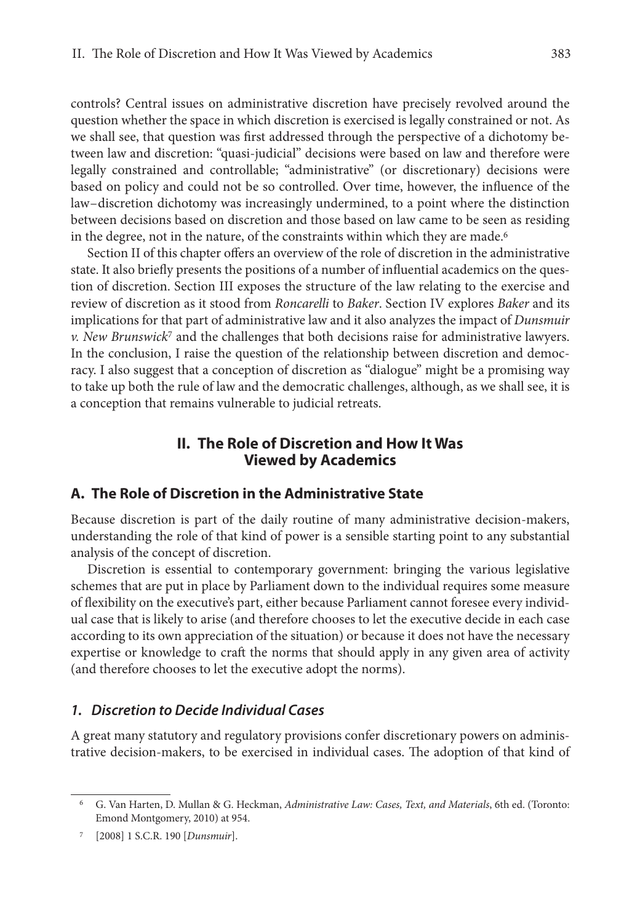<span id="page-2-0"></span>controls? Central issues on administrative discretion have precisely revolved around the question whether the space in which discretion is exercised is legally constrained or not. As we shall see, that question was first addressed through the perspective of a dichotomy between law and discretion: "quasi-judicial" decisions were based on law and therefore were legally constrained and controllable; "administrative" (or discretionary) decisions were based on policy and could not be so controlled. Over time, however, the influence of the law–discretion dichotomy was increasingly undermined, to a point where the distinction between decisions based on discretion and those based on law came to be seen as residing in the degree, not in the nature, of the constraints within which they are made.<sup>6</sup>

Section II of this chapter offers an overview of the role of discretion in the administrative state. It also briefly presents the positions of a number of influential academics on the question of discretion. Section III exposes the structure of the law relating to the exercise and review of discretion as it stood from *Roncarelli* to *Baker*. Section IV explores *Baker* and its implications for that part of administrative law and it also analyzes the impact of *Dunsmuir v. New Brunswick*<sup>7</sup> and the challenges that both decisions raise for administrative lawyers. In the conclusion, I raise the question of the relationship between discretion and democracy. I also suggest that a conception of discretion as "dialogue" might be a promising way to take up both the rule of law and the democratic challenges, although, as we shall see, it is a conception that remains vulnerable to judicial retreats.

# **II. The Role of Discretion and How It Was Viewed by Academics**

### **A. The Role of Discretion in the Administrative State**

Because discretion is part of the daily routine of many administrative decision-makers, understanding the role of that kind of power is a sensible starting point to any substantial analysis of the concept of discretion.

Discretion is essential to contemporary government: bringing the various legislative schemes that are put in place by Parliament down to the individual requires some measure of flexibility on the executive's part, either because Parliament cannot foresee every individual case that is likely to arise (and therefore chooses to let the executive decide in each case according to its own appreciation of the situation) or because it does not have the necessary expertise or knowledge to craft the norms that should apply in any given area of activity (and therefore chooses to let the executive adopt the norms).

## *1. Discretion to Decide Individual Cases*

A great many statutory and regulatory provisions confer discretionary powers on administrative decision-makers, to be exercised in individual cases. The adoption of that kind of

<sup>6</sup> G. Van Harten, D. Mullan & G. Heckman, *Administrative Law: Cases, Text, and Materials*, 6th ed. (Toronto: Emond Montgomery, 2010) at 954.

<sup>7 [2008]</sup> 1 S.C.R. 190 [*Dunsmuir*].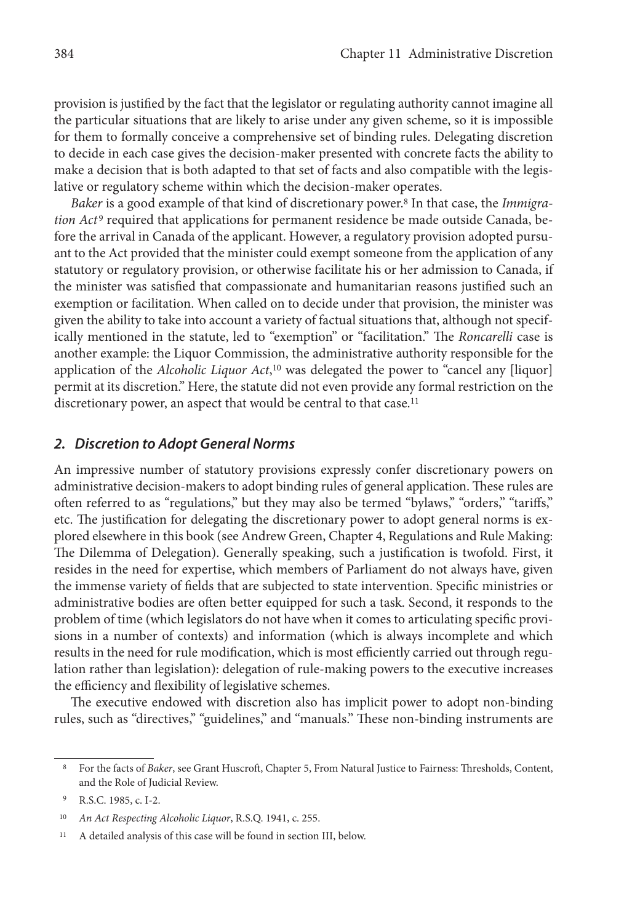<span id="page-3-0"></span>provision is justified by the fact that the legislator or regulating authority cannot imagine all the particular situations that are likely to arise under any given scheme, so it is impossible for them to formally conceive a comprehensive set of binding rules. Delegating discretion to decide in each case gives the decision-maker presented with concrete facts the ability to make a decision that is both adapted to that set of facts and also compatible with the legislative or regulatory scheme within which the decision-maker operates.

*Baker* is a good example of that kind of discretionary power.8 In that case, the *Immigration Act*<sup>9</sup> required that applications for permanent residence be made outside Canada, before the arrival in Canada of the applicant. However, a regulatory provision adopted pursuant to the Act provided that the minister could exempt someone from the application of any statutory or regulatory provision, or otherwise facilitate his or her admission to Canada, if the minister was satisfied that compassionate and humanitarian reasons justified such an exemption or facilitation. When called on to decide under that provision, the minister was given the ability to take into account a variety of factual situations that, although not specifically mentioned in the statute, led to "exemption" or "facilitation." The *Roncarelli* case is another example: the Liquor Commission, the administrative authority responsible for the application of the *Alcoholic Liquor Act*, <sup>10</sup> was delegated the power to "cancel any [liquor] permit at its discretion." Here, the statute did not even provide any formal restriction on the discretionary power, an aspect that would be central to that case.<sup>11</sup>

# *2. Discretion to Adopt General Norms*

An impressive number of statutory provisions expressly confer discretionary powers on administrative decision-makers to adopt binding rules of general application. These rules are often referred to as "regulations," but they may also be termed "bylaws," "orders," "tariffs," etc. The justification for delegating the discretionary power to adopt general norms is explored elsewhere in this book (see Andrew Green, Chapter 4, Regulations and Rule Making: The Dilemma of Delegation). Generally speaking, such a justification is twofold. First, it resides in the need for expertise, which members of Parliament do not always have, given the immense variety of fields that are subjected to state intervention. Specific ministries or administrative bodies are often better equipped for such a task. Second, it responds to the problem of time (which legislators do not have when it comes to articulating specific provisions in a number of contexts) and information (which is always incomplete and which results in the need for rule modification, which is most efficiently carried out through regulation rather than legislation): delegation of rule-making powers to the executive increases the efficiency and flexibility of legislative schemes.

The executive endowed with discretion also has implicit power to adopt non-binding rules, such as "directives," "guidelines," and "manuals." These non-binding instruments are

For the facts of *Baker*, see Grant Huscroft, Chapter 5, From Natural Justice to Fairness: Thresholds, Content, and the Role of Judicial Review.

R.S.C. 1985, c. I-2.

<sup>10</sup> *An Act Respecting Alcoholic Liquor*, R.S.Q. 1941, c. 255.

<sup>&</sup>lt;sup>11</sup> A detailed analysis of this case will be found in section III, below.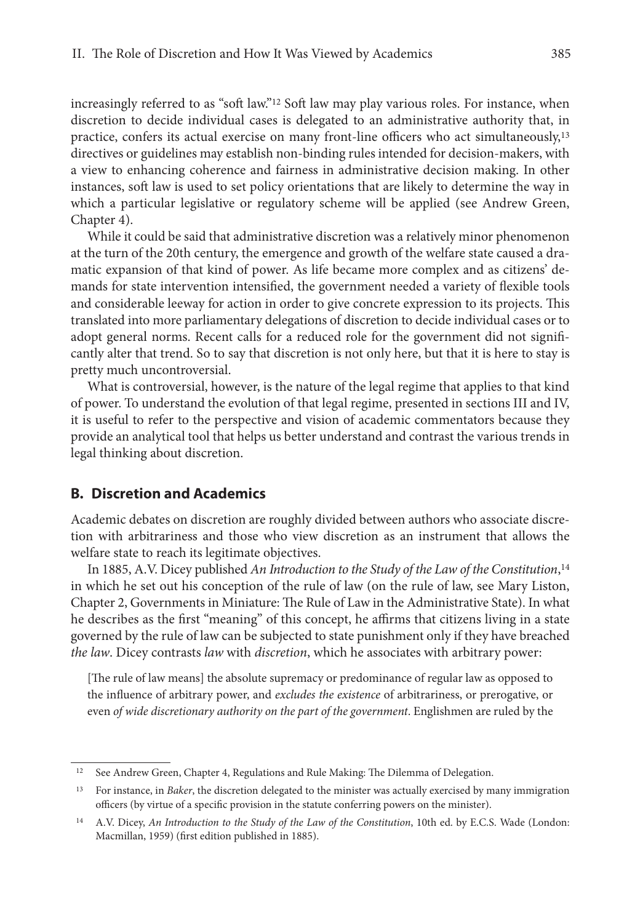<span id="page-4-0"></span>increasingly referred to as "soft law."12 Soft law may play various roles. For instance, when discretion to decide individual cases is delegated to an administrative authority that, in practice, confers its actual exercise on many front-line officers who act simultaneously,<sup>13</sup> directives or guidelines may establish non-binding rules intended for decision-makers, with a view to enhancing coherence and fairness in administrative decision making. In other instances, soft law is used to set policy orientations that are likely to determine the way in which a particular legislative or regulatory scheme will be applied (see Andrew Green, Chapter 4).

While it could be said that administrative discretion was a relatively minor phenomenon at the turn of the 20th century, the emergence and growth of the welfare state caused a dramatic expansion of that kind of power. As life became more complex and as citizens' demands for state intervention intensified, the government needed a variety of flexible tools and considerable leeway for action in order to give concrete expression to its projects. This translated into more parliamentary delegations of discretion to decide individual cases or to adopt general norms. Recent calls for a reduced role for the government did not significantly alter that trend. So to say that discretion is not only here, but that it is here to stay is pretty much uncontroversial.

What is controversial, however, is the nature of the legal regime that applies to that kind of power. To understand the evolution of that legal regime, presented in sections III and IV, it is useful to refer to the perspective and vision of academic commentators because they provide an analytical tool that helps us better understand and contrast the various trends in legal thinking about discretion.

# **B. Discretion and Academics**

Academic debates on discretion are roughly divided between authors who associate discretion with arbitrariness and those who view discretion as an instrument that allows the welfare state to reach its legitimate objectives.

In 1885, A.V. Dicey published *An Introduction to the Study of the Law of the Constitution*, 14 in which he set out his conception of the rule of law (on the rule of law, see Mary Liston, Chapter 2, Governments in Miniature: The Rule of Law in the Administrative State). In what he describes as the first "meaning" of this concept, he affirms that citizens living in a state governed by the rule of law can be subjected to state punishment only if they have breached *the law*. Dicey contrasts *law* with *discretion*, which he associates with arbitrary power:

[The rule of law means] the absolute supremacy or predominance of regular law as opposed to the influence of arbitrary power, and *excludes the existence* of arbitrariness, or prerogative, or even *of wide discretionary authority on the part of the government*. Englishmen are ruled by the

<sup>&</sup>lt;sup>12</sup> See Andrew Green, Chapter 4, Regulations and Rule Making: The Dilemma of Delegation.

<sup>&</sup>lt;sup>13</sup> For instance, in *Baker*, the discretion delegated to the minister was actually exercised by many immigration officers (by virtue of a specific provision in the statute conferring powers on the minister).

A.V. Dicey, *An Introduction to the Study of the Law of the Constitution*, 10th ed. by E.C.S. Wade (London: Macmillan, 1959) (first edition published in 1885).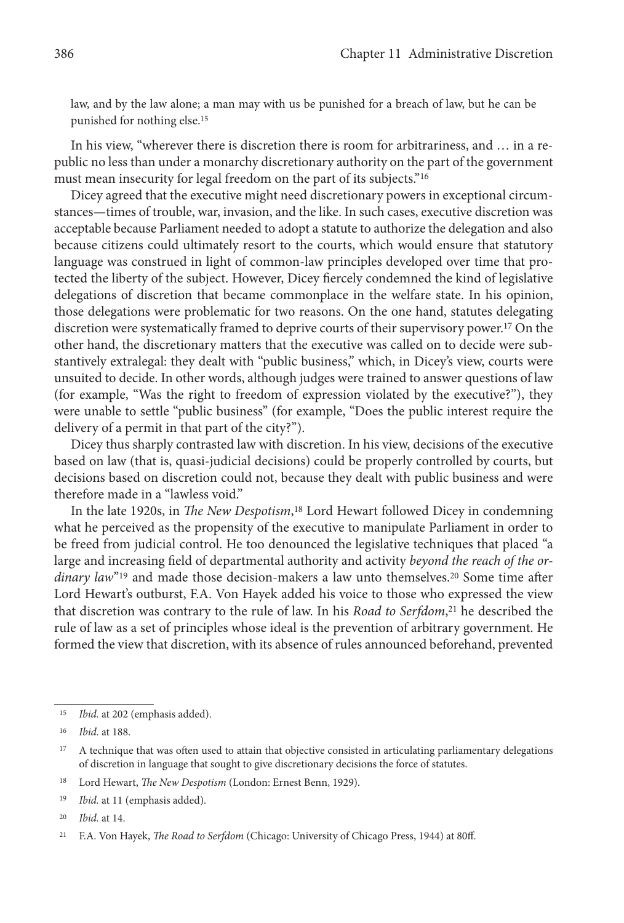law, and by the law alone; a man may with us be punished for a breach of law, but he can be punished for nothing else.15

In his view, "wherever there is discretion there is room for arbitrariness, and … in a republic no less than under a monarchy discretionary authority on the part of the government must mean insecurity for legal freedom on the part of its subjects."16

Dicey agreed that the executive might need discretionary powers in exceptional circumstances—times of trouble, war, invasion, and the like. In such cases, executive discretion was acceptable because Parliament needed to adopt a statute to authorize the delegation and also because citizens could ultimately resort to the courts, which would ensure that statutory language was construed in light of common-law principles developed over time that protected the liberty of the subject. However, Dicey fiercely condemned the kind of legislative delegations of discretion that became commonplace in the welfare state. In his opinion, those delegations were problematic for two reasons. On the one hand, statutes delegating discretion were systematically framed to deprive courts of their supervisory power.17 On the other hand, the discretionary matters that the executive was called on to decide were substantively extralegal: they dealt with "public business," which, in Dicey's view, courts were unsuited to decide. In other words, although judges were trained to answer questions of law (for example, "Was the right to freedom of expression violated by the executive?"), they were unable to settle "public business" (for example, "Does the public interest require the delivery of a permit in that part of the city?").

Dicey thus sharply contrasted law with discretion. In his view, decisions of the executive based on law (that is, quasi-judicial decisions) could be properly controlled by courts, but decisions based on discretion could not, because they dealt with public business and were therefore made in a "lawless void."

In the late 1920s, in *The New Despotism*, <sup>18</sup> Lord Hewart followed Dicey in condemning what he perceived as the propensity of the executive to manipulate Parliament in order to be freed from judicial control. He too denounced the legislative techniques that placed "a large and increasing field of departmental authority and activity *beyond the reach of the ordinary law*"19 and made those decision-makers a law unto themselves.20 Some time after Lord Hewart's outburst, F.A. Von Hayek added his voice to those who expressed the view that discretion was contrary to the rule of law. In his *Road to Serfdom*, <sup>21</sup> he described the rule of law as a set of principles whose ideal is the prevention of arbitrary government. He formed the view that discretion, with its absence of rules announced beforehand, prevented

<sup>15</sup> *Ibid.* at 202 (emphasis added).

<sup>16</sup> *Ibid.* at 188.

<sup>&</sup>lt;sup>17</sup> A technique that was often used to attain that objective consisted in articulating parliamentary delegations of discretion in language that sought to give discretionary decisions the force of statutes.

<sup>18</sup> Lord Hewart, *The New Despotism* (London: Ernest Benn, 1929).

<sup>19</sup> *Ibid.* at 11 (emphasis added).

<sup>20</sup> *Ibid.* at 14.

<sup>21</sup> F.A. Von Hayek, *The Road to Serfdom* (Chicago: University of Chicago Press, 1944) at 80ff.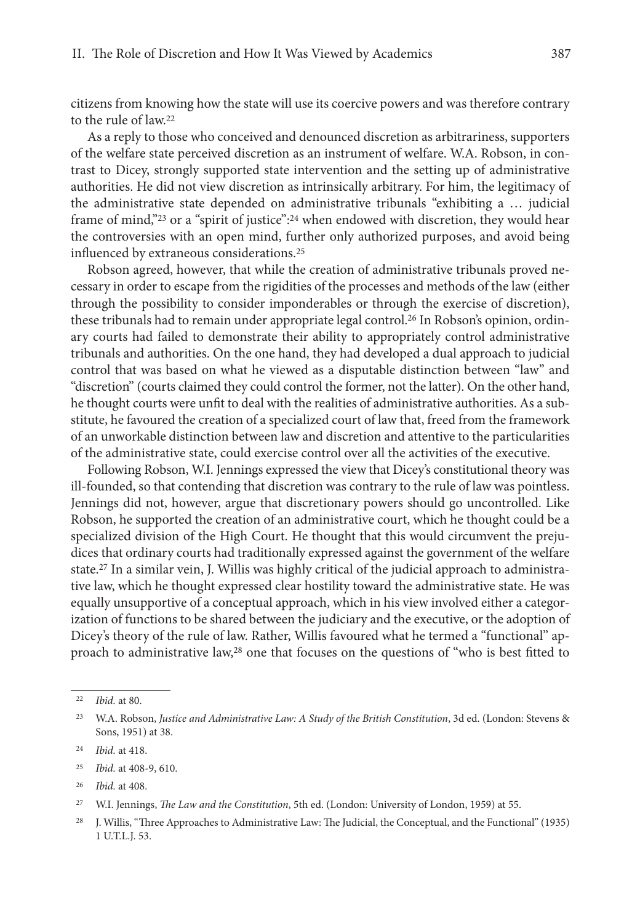citizens from knowing how the state will use its coercive powers and was therefore contrary to the rule of law.22

As a reply to those who conceived and denounced discretion as arbitrariness, supporters of the welfare state perceived discretion as an instrument of welfare. W.A. Robson, in contrast to Dicey, strongly supported state intervention and the setting up of administrative authorities. He did not view discretion as intrinsically arbitrary. For him, the legitimacy of the administrative state depended on administrative tribunals "exhibiting a … judicial frame of mind,"23 or a "spirit of justice":24 when endowed with discretion, they would hear the controversies with an open mind, further only authorized purposes, and avoid being influenced by extraneous considerations.25

Robson agreed, however, that while the creation of administrative tribunals proved necessary in order to escape from the rigidities of the processes and methods of the law (either through the possibility to consider imponderables or through the exercise of discretion), these tribunals had to remain under appropriate legal control.<sup>26</sup> In Robson's opinion, ordinary courts had failed to demonstrate their ability to appropriately control administrative tribunals and authorities. On the one hand, they had developed a dual approach to judicial control that was based on what he viewed as a disputable distinction between "law" and "discretion" (courts claimed they could control the former, not the latter). On the other hand, he thought courts were unfit to deal with the realities of administrative authorities. As a substitute, he favoured the creation of a specialized court of law that, freed from the framework of an unworkable distinction between law and discretion and attentive to the particularities of the administrative state, could exercise control over all the activities of the executive.

Following Robson, W.I. Jennings expressed the view that Dicey's constitutional theory was ill-founded, so that contending that discretion was contrary to the rule of law was pointless. Jennings did not, however, argue that discretionary powers should go uncontrolled. Like Robson, he supported the creation of an administrative court, which he thought could be a specialized division of the High Court. He thought that this would circumvent the prejudices that ordinary courts had traditionally expressed against the government of the welfare state.27 In a similar vein, J. Willis was highly critical of the judicial approach to administrative law, which he thought expressed clear hostility toward the administrative state. He was equally unsupportive of a conceptual approach, which in his view involved either a categorization of functions to be shared between the judiciary and the executive, or the adoption of Dicey's theory of the rule of law. Rather, Willis favoured what he termed a "functional" approach to administrative law,28 one that focuses on the questions of "who is best fitted to

<sup>22</sup> *Ibid.* at 80.

<sup>&</sup>lt;sup>23</sup> W.A. Robson, *Justice and Administrative Law: A Study of the British Constitution*, 3d ed. (London: Stevens & Sons, 1951) at 38.

<sup>24</sup> *Ibid.* at 418.

<sup>25</sup> *Ibid.* at 408-9, 610.

<sup>26</sup> *Ibid.* at 408.

<sup>&</sup>lt;sup>27</sup> W.I. Jennings, *The Law and the Constitution*, 5th ed. (London: University of London, 1959) at 55.

J. Willis, "Three Approaches to Administrative Law: The Judicial, the Conceptual, and the Functional" (1935) 1 U.T.L.J. 53.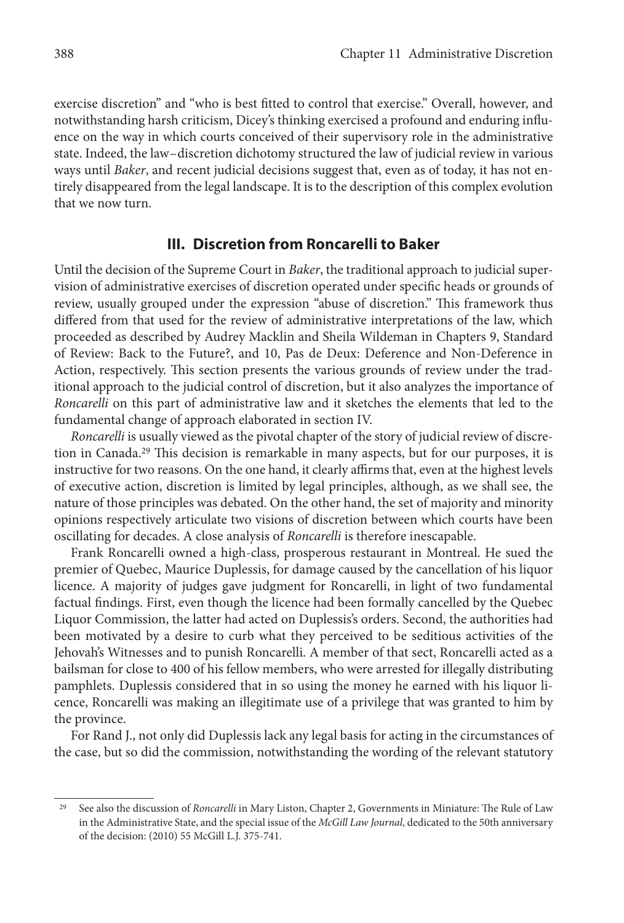<span id="page-7-0"></span>exercise discretion" and "who is best fitted to control that exercise." Overall, however, and notwithstanding harsh criticism, Dicey's thinking exercised a profound and enduring influence on the way in which courts conceived of their supervisory role in the administrative state. Indeed, the law–discretion dichotomy structured the law of judicial review in various ways until *Baker*, and recent judicial decisions suggest that, even as of today, it has not entirely disappeared from the legal landscape. It is to the description of this complex evolution that we now turn.

#### **III. Discretion from Roncarelli to Baker**

Until the decision of the Supreme Court in *Baker*, the traditional approach to judicial supervision of administrative exercises of discretion operated under specific heads or grounds of review, usually grouped under the expression "abuse of discretion." This framework thus differed from that used for the review of administrative interpretations of the law, which proceeded as described by Audrey Macklin and Sheila Wildeman in Chapters 9, Standard of Review: Back to the Future?, and 10, Pas de Deux: Deference and Non-Deference in Action, respectively. This section presents the various grounds of review under the traditional approach to the judicial control of discretion, but it also analyzes the importance of *Roncarelli* on this part of administrative law and it sketches the elements that led to the fundamental change of approach elaborated in section IV.

*Roncarelli* is usually viewed as the pivotal chapter of the story of judicial review of discretion in Canada.29 This decision is remarkable in many aspects, but for our purposes, it is instructive for two reasons. On the one hand, it clearly affirms that, even at the highest levels of executive action, discretion is limited by legal principles, although, as we shall see, the nature of those principles was debated. On the other hand, the set of majority and minority opinions respectively articulate two visions of discretion between which courts have been oscillating for decades. A close analysis of *Roncarelli* is therefore inescapable.

Frank Roncarelli owned a high-class, prosperous restaurant in Montreal. He sued the premier of Quebec, Maurice Duplessis, for damage caused by the cancellation of his liquor licence. A majority of judges gave judgment for Roncarelli, in light of two fundamental factual findings. First, even though the licence had been formally cancelled by the Quebec Liquor Commission, the latter had acted on Duplessis's orders. Second, the authorities had been motivated by a desire to curb what they perceived to be seditious activities of the Jehovah's Witnesses and to punish Roncarelli. A member of that sect, Roncarelli acted as a bailsman for close to 400 of his fellow members, who were arrested for illegally distributing pamphlets. Duplessis considered that in so using the money he earned with his liquor licence, Roncarelli was making an illegitimate use of a privilege that was granted to him by the province.

For Rand J., not only did Duplessis lack any legal basis for acting in the circumstances of the case, but so did the commission, notwithstanding the wording of the relevant statutory

<sup>&</sup>lt;sup>29</sup> See also the discussion of *Roncarelli* in Mary Liston, Chapter 2, Governments in Miniature: The Rule of Law in the Administrative State, and the special issue of the *McGill Law Journal*, dedicated to the 50th anniversary of the decision: (2010) 55 McGill L.J. 375-741.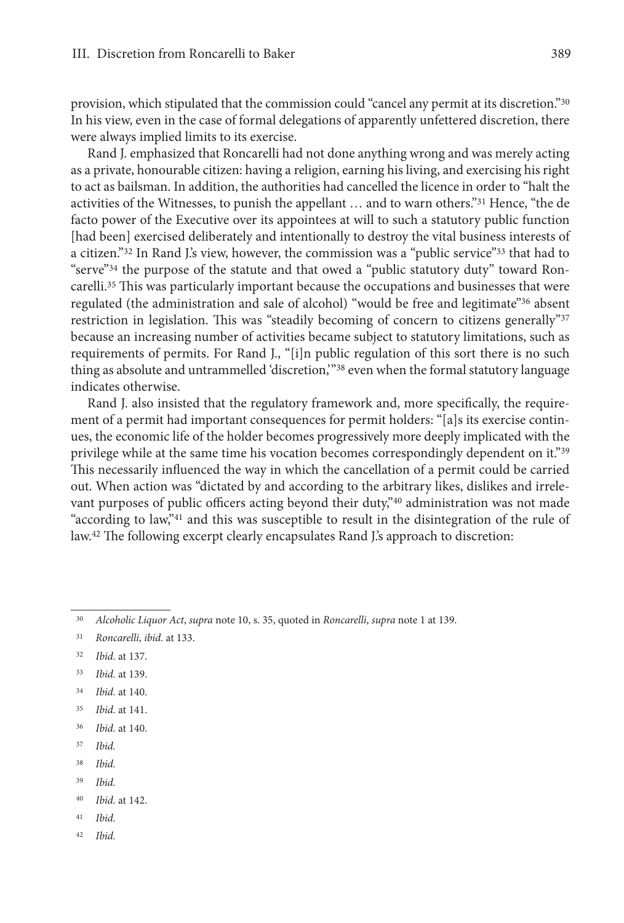provision, which stipulated that the commission could "cancel any permit at its discretion."30 In his view, even in the case of formal delegations of apparently unfettered discretion, there were always implied limits to its exercise.

Rand J. emphasized that Roncarelli had not done anything wrong and was merely acting as a private, honourable citizen: having a religion, earning his living, and exercising his right to act as bailsman. In addition, the authorities had cancelled the licence in order to "halt the activities of the Witnesses, to punish the appellant … and to warn others."31 Hence, "the de facto power of the Executive over its appointees at will to such a statutory public function [had been] exercised deliberately and intentionally to destroy the vital business interests of a citizen."<sup>32</sup> In Rand J.'s view, however, the commission was a "public service"<sup>33</sup> that had to "serve"34 the purpose of the statute and that owed a "public statutory duty" toward Roncarelli.35 This was particularly important because the occupations and businesses that were regulated (the administration and sale of alcohol) "would be free and legitimate"36 absent restriction in legislation. This was "steadily becoming of concern to citizens generally"37 because an increasing number of activities became subject to statutory limitations, such as requirements of permits. For Rand J., "[i]n public regulation of this sort there is no such thing as absolute and untrammelled 'discretion,'"38 even when the formal statutory language indicates otherwise.

Rand J. also insisted that the regulatory framework and, more specifically, the requirement of a permit had important consequences for permit holders: "[a]s its exercise continues, the economic life of the holder becomes progressively more deeply implicated with the privilege while at the same time his vocation becomes correspondingly dependent on it."39 This necessarily influenced the way in which the cancellation of a permit could be carried out. When action was "dictated by and according to the arbitrary likes, dislikes and irrelevant purposes of public officers acting beyond their duty,"40 administration was not made "according to law,"41 and this was susceptible to result in the disintegration of the rule of law.42 The following excerpt clearly encapsulates Rand J.'s approach to discretion:

- <sup>31</sup> *Roncarelli*, *ibid.* at 133.
- <sup>32</sup> *Ibid.* at 137.
- <sup>33</sup> *Ibid.* at 139.
- <sup>34</sup> *Ibid.* at 140.
- <sup>35</sup> *Ibid.* at 141.
- <sup>36</sup> *Ibid.* at 140.
- <sup>37</sup> *Ibid.*
- <sup>38</sup> *Ibid.*
- <sup>39</sup> *Ibid.*
- <sup>40</sup> *Ibid.* at 142.
- <sup>41</sup> *Ibid.*
- <sup>42</sup> *Ibid.*

<sup>30</sup> *Alcoholic Liquor Act*, *supra* note 10, s. 35, quoted in *Roncarelli*, *supra* note 1 at 139.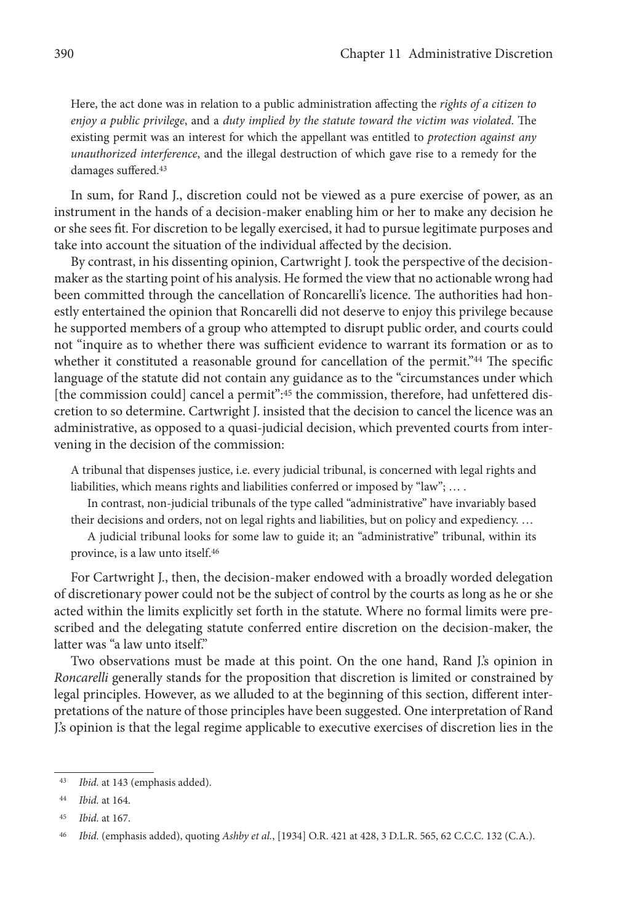Here, the act done was in relation to a public administration affecting the *rights of a citizen to enjoy a public privilege*, and a *duty implied by the statute toward the victim was violated*. The existing permit was an interest for which the appellant was entitled to *protection against any unauthorized interference*, and the illegal destruction of which gave rise to a remedy for the damages suffered.43

In sum, for Rand J., discretion could not be viewed as a pure exercise of power, as an instrument in the hands of a decision-maker enabling him or her to make any decision he or she sees fit. For discretion to be legally exercised, it had to pursue legitimate purposes and take into account the situation of the individual affected by the decision.

By contrast, in his dissenting opinion, Cartwright J. took the perspective of the decisionmaker as the starting point of his analysis. He formed the view that no actionable wrong had been committed through the cancellation of Roncarelli's licence. The authorities had honestly entertained the opinion that Roncarelli did not deserve to enjoy this privilege because he supported members of a group who attempted to disrupt public order, and courts could not "inquire as to whether there was sufficient evidence to warrant its formation or as to whether it constituted a reasonable ground for cancellation of the permit.<sup>"44</sup> The specific language of the statute did not contain any guidance as to the "circumstances under which [the commission could] cancel a permit":45 the commission, therefore, had unfettered discretion to so determine. Cartwright J. insisted that the decision to cancel the licence was an administrative, as opposed to a quasi-judicial decision, which prevented courts from intervening in the decision of the commission:

A tribunal that dispenses justice, i.e. every judicial tribunal, is concerned with legal rights and liabilities, which means rights and liabilities conferred or imposed by "law"; … .

In contrast, non-judicial tribunals of the type called "administrative" have invariably based their decisions and orders, not on legal rights and liabilities, but on policy and expediency. …

A judicial tribunal looks for some law to guide it; an "administrative" tribunal, within its province, is a law unto itself.46

For Cartwright J., then, the decision-maker endowed with a broadly worded delegation of discretionary power could not be the subject of control by the courts as long as he or she acted within the limits explicitly set forth in the statute. Where no formal limits were prescribed and the delegating statute conferred entire discretion on the decision-maker, the latter was "a law unto itself."

Two observations must be made at this point. On the one hand, Rand J.'s opinion in *Roncarelli* generally stands for the proposition that discretion is limited or constrained by legal principles. However, as we alluded to at the beginning of this section, different interpretations of the nature of those principles have been suggested. One interpretation of Rand J.'s opinion is that the legal regime applicable to executive exercises of discretion lies in the

<sup>43</sup> *Ibid.* at 143 (emphasis added).

<sup>44</sup> *Ibid.* at 164.

<sup>45</sup> *Ibid.* at 167.

<sup>46</sup> *Ibid.* (emphasis added), quoting *Ashby et al.*, [1934] O.R. 421 at 428, 3 D.L.R. 565, 62 C.C.C. 132 (C.A.).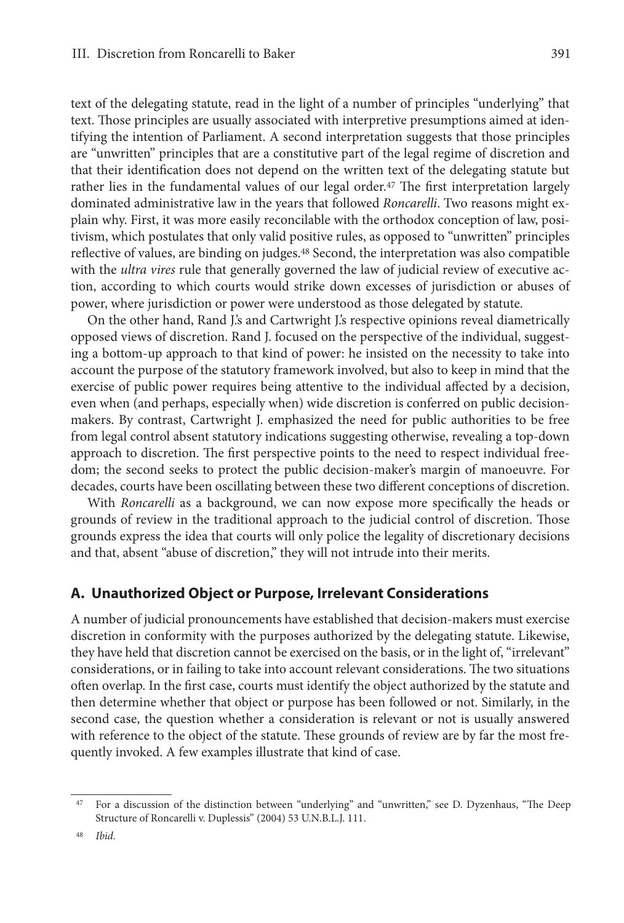<span id="page-10-0"></span>text of the delegating statute, read in the light of a number of principles "underlying" that text. Those principles are usually associated with interpretive presumptions aimed at identifying the intention of Parliament. A second interpretation suggests that those principles are "unwritten" principles that are a constitutive part of the legal regime of discretion and that their identification does not depend on the written text of the delegating statute but rather lies in the fundamental values of our legal order.<sup>47</sup> The first interpretation largely dominated administrative law in the years that followed *Roncarelli*. Two reasons might explain why. First, it was more easily reconcilable with the orthodox conception of law, positivism, which postulates that only valid positive rules, as opposed to "unwritten" principles reflective of values, are binding on judges.<sup>48</sup> Second, the interpretation was also compatible with the *ultra vires* rule that generally governed the law of judicial review of executive action, according to which courts would strike down excesses of jurisdiction or abuses of power, where jurisdiction or power were understood as those delegated by statute.

On the other hand, Rand J.'s and Cartwright J.'s respective opinions reveal diametrically opposed views of discretion. Rand J. focused on the perspective of the individual, suggesting a bottom-up approach to that kind of power: he insisted on the necessity to take into account the purpose of the statutory framework involved, but also to keep in mind that the exercise of public power requires being attentive to the individual affected by a decision, even when (and perhaps, especially when) wide discretion is conferred on public decisionmakers. By contrast, Cartwright J. emphasized the need for public authorities to be free from legal control absent statutory indications suggesting otherwise, revealing a top-down approach to discretion. The first perspective points to the need to respect individual freedom; the second seeks to protect the public decision-maker's margin of manoeuvre. For decades, courts have been oscillating between these two different conceptions of discretion.

With *Roncarelli* as a background, we can now expose more specifically the heads or grounds of review in the traditional approach to the judicial control of discretion. Those grounds express the idea that courts will only police the legality of discretionary decisions and that, absent "abuse of discretion," they will not intrude into their merits.

#### **A. Unauthorized Object or Purpose, Irrelevant Considerations**

A number of judicial pronouncements have established that decision-makers must exercise discretion in conformity with the purposes authorized by the delegating statute. Likewise, they have held that discretion cannot be exercised on the basis, or in the light of,"irrelevant" considerations, or in failing to take into account relevant considerations. The two situations often overlap. In the first case, courts must identify the object authorized by the statute and then determine whether that object or purpose has been followed or not. Similarly, in the second case, the question whether a consideration is relevant or not is usually answered with reference to the object of the statute. These grounds of review are by far the most frequently invoked. A few examples illustrate that kind of case.

<sup>&</sup>lt;sup>47</sup> For a discussion of the distinction between "underlying" and "unwritten," see D. Dyzenhaus, "The Deep Structure of Roncarelli v. Duplessis" (2004) 53 U.N.B.L.J. 111.

<sup>48</sup> *Ibid.*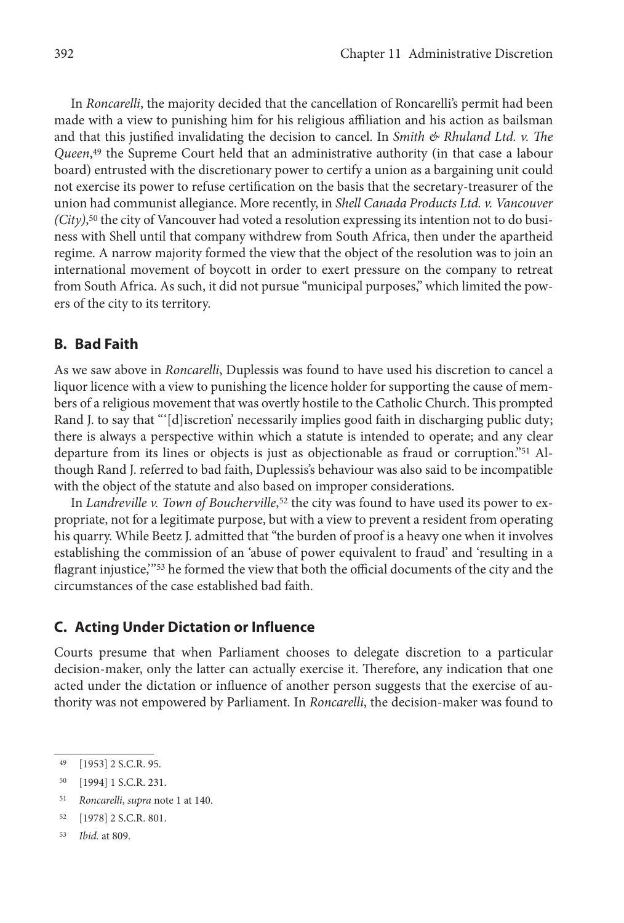<span id="page-11-0"></span>In *Roncarelli*, the majority decided that the cancellation of Roncarelli's permit had been made with a view to punishing him for his religious affiliation and his action as bailsman and that this justified invalidating the decision to cancel. In *Smith & Rhuland Ltd. v. The Queen*, <sup>49</sup> the Supreme Court held that an administrative authority (in that case a labour board) entrusted with the discretionary power to certify a union as a bargaining unit could not exercise its power to refuse certification on the basis that the secretary-treasurer of the union had communist allegiance. More recently, in *Shell Canada Products Ltd. v. Vancouver (City)*, <sup>50</sup> the city of Vancouver had voted a resolution expressing its intention not to do business with Shell until that company withdrew from South Africa, then under the apartheid regime. A narrow majority formed the view that the object of the resolution was to join an international movement of boycott in order to exert pressure on the company to retreat from South Africa. As such, it did not pursue "municipal purposes," which limited the powers of the city to its territory.

# **B. Bad Faith**

As we saw above in *Roncarelli*, Duplessis was found to have used his discretion to cancel a liquor licence with a view to punishing the licence holder for supporting the cause of members of a religious movement that was overtly hostile to the Catholic Church. This prompted Rand J. to say that "'[d] iscretion' necessarily implies good faith in discharging public duty; there is always a perspective within which a statute is intended to operate; and any clear departure from its lines or objects is just as objectionable as fraud or corruption."51 Although Rand J. referred to bad faith, Duplessis's behaviour was also said to be incompatible with the object of the statute and also based on improper considerations.

In *Landreville v. Town of Boucherville*, <sup>52</sup> the city was found to have used its power to expropriate, not for a legitimate purpose, but with a view to prevent a resident from operating his quarry. While Beetz J. admitted that "the burden of proof is a heavy one when it involves establishing the commission of an 'abuse of power equivalent to fraud' and 'resulting in a flagrant injustice,"<sup>53</sup> he formed the view that both the official documents of the city and the circumstances of the case established bad faith.

# **C. Acting Under Dictation or Influence**

Courts presume that when Parliament chooses to delegate discretion to a particular decision-maker, only the latter can actually exercise it. Therefore, any indication that one acted under the dictation or influence of another person suggests that the exercise of authority was not empowered by Parliament. In *Roncarelli*, the decision-maker was found to

<sup>49 [1953]</sup> 2 S.C.R. 95.

<sup>50 [1994]</sup> 1 S.C.R. 231.

<sup>51</sup> *Roncarelli*, *supra* note 1 at 140.

<sup>52 [1978]</sup> 2 S.C.R. 801.

<sup>53</sup> *Ibid.* at 809.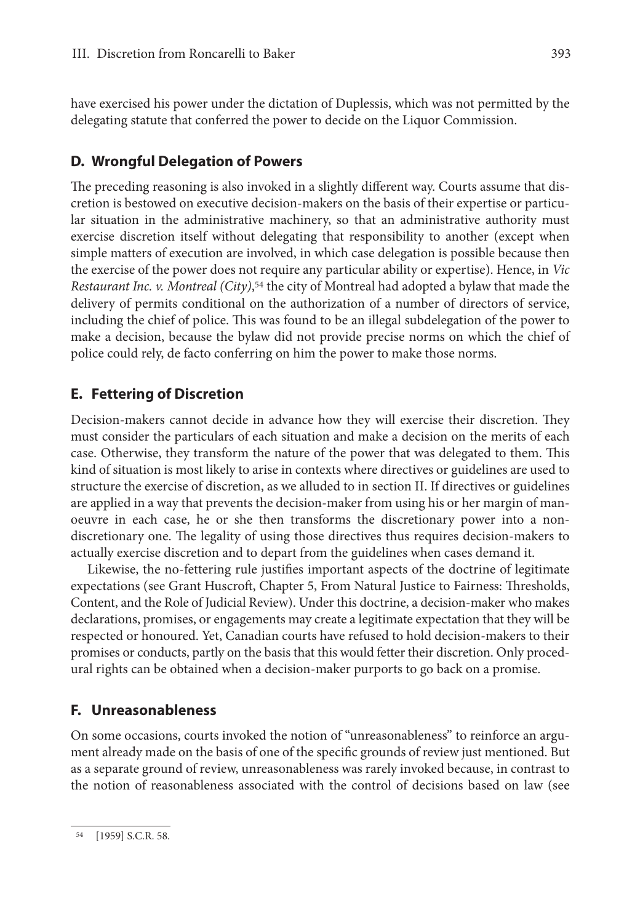<span id="page-12-0"></span>have exercised his power under the dictation of Duplessis, which was not permitted by the delegating statute that conferred the power to decide on the Liquor Commission.

# **D. Wrongful Delegation of Powers**

The preceding reasoning is also invoked in a slightly different way. Courts assume that discretion is bestowed on executive decision-makers on the basis of their expertise or particular situation in the administrative machinery, so that an administrative authority must exercise discretion itself without delegating that responsibility to another (except when simple matters of execution are involved, in which case delegation is possible because then the exercise of the power does not require any particular ability or expertise). Hence, in *Vic*  Restaurant Inc. v. Montreal (City),<sup>54</sup> the city of Montreal had adopted a bylaw that made the delivery of permits conditional on the authorization of a number of directors of service, including the chief of police. This was found to be an illegal subdelegation of the power to make a decision, because the bylaw did not provide precise norms on which the chief of police could rely, de facto conferring on him the power to make those norms.

# **E. Fettering of Discretion**

Decision-makers cannot decide in advance how they will exercise their discretion. They must consider the particulars of each situation and make a decision on the merits of each case. Otherwise, they transform the nature of the power that was delegated to them. This kind of situation is most likely to arise in contexts where directives or guidelines are used to structure the exercise of discretion, as we alluded to in section II. If directives or guidelines are applied in a way that prevents the decision-maker from using his or her margin of manoeuvre in each case, he or she then transforms the discretionary power into a nondiscretionary one. The legality of using those directives thus requires decision-makers to actually exercise discretion and to depart from the guidelines when cases demand it.

Likewise, the no-fettering rule justifies important aspects of the doctrine of legitimate expectations (see Grant Huscroft, Chapter 5, From Natural Justice to Fairness: Thresholds, Content, and the Role of Judicial Review). Under this doctrine, a decision-maker who makes declarations, promises, or engagements may create a legitimate expectation that they will be respected or honoured. Yet, Canadian courts have refused to hold decision-makers to their promises or conducts, partly on the basis that this would fetter their discretion. Only procedural rights can be obtained when a decision-maker purports to go back on a promise.

# **F. Unreasonableness**

On some occasions, courts invoked the notion of "unreasonableness" to reinforce an argument already made on the basis of one of the specific grounds of review just mentioned. But as a separate ground of review, unreasonableness was rarely invoked because, in contrast to the notion of reasonableness associated with the control of decisions based on law (see

<sup>[1959]</sup> S.C.R. 58.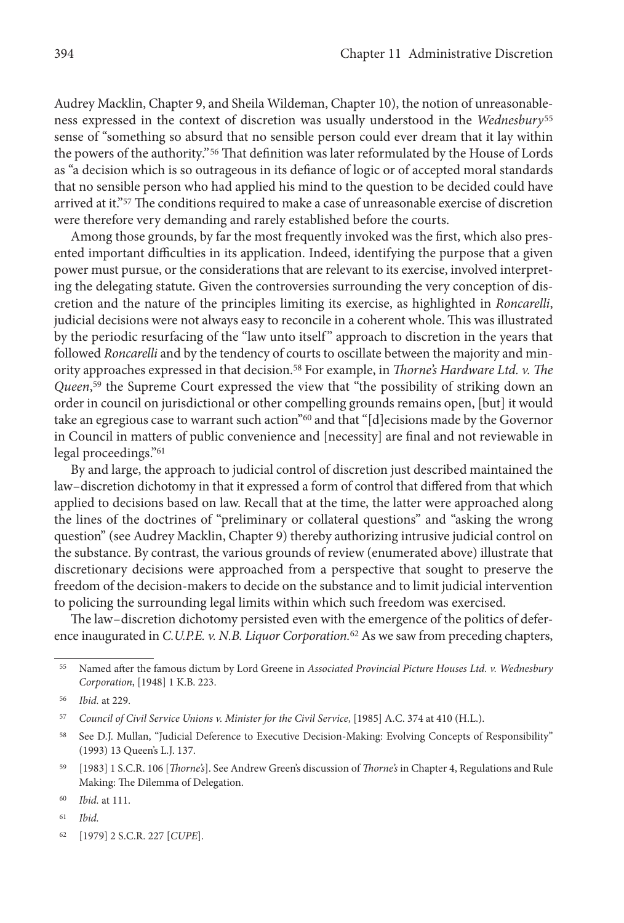Audrey Macklin, Chapter 9, and Sheila Wildeman, Chapter 10), the notion of unreasonableness expressed in the context of discretion was usually understood in the *Wednesbury*<sup>55</sup> sense of "something so absurd that no sensible person could ever dream that it lay within the powers of the authority."56 That definition was later reformulated by the House of Lords as "a decision which is so outrageous in its defiance of logic or of accepted moral standards that no sensible person who had applied his mind to the question to be decided could have arrived at it."<sup>57</sup> The conditions required to make a case of unreasonable exercise of discretion were therefore very demanding and rarely established before the courts.

Among those grounds, by far the most frequently invoked was the first, which also presented important difficulties in its application. Indeed, identifying the purpose that a given power must pursue, or the considerations that are relevant to its exercise, involved interpreting the delegating statute. Given the controversies surrounding the very conception of discretion and the nature of the principles limiting its exercise, as highlighted in *Roncarelli*, judicial decisions were not always easy to reconcile in a coherent whole. This was illustrated by the periodic resurfacing of the "law unto itself " approach to discretion in the years that followed *Roncarelli* and by the tendency of courts to oscillate between the majority and minority approaches expressed in that decision.58 For example, in *Thorne's Hardware Ltd. v. The Queen*, <sup>59</sup> the Supreme Court expressed the view that "the possibility of striking down an order in council on jurisdictional or other compelling grounds remains open, [but] it would take an egregious case to warrant such action"60 and that"[d]ecisions made by the Governor in Council in matters of public convenience and [necessity] are final and not reviewable in legal proceedings."61

By and large, the approach to judicial control of discretion just described maintained the law–discretion dichotomy in that it expressed a form of control that differed from that which applied to decisions based on law. Recall that at the time, the latter were approached along the lines of the doctrines of "preliminary or collateral questions" and "asking the wrong question" (see Audrey Macklin, Chapter 9) thereby authorizing intrusive judicial control on the substance. By contrast, the various grounds of review (enumerated above) illustrate that discretionary decisions were approached from a perspective that sought to preserve the freedom of the decision-makers to decide on the substance and to limit judicial intervention to policing the surrounding legal limits within which such freedom was exercised.

The law–discretion dichotomy persisted even with the emergence of the politics of deference inaugurated in *C.U.P.E. v. N.B. Liquor Corporation.*<sup>62</sup> As we saw from preceding chapters,

- <sup>61</sup> *Ibid.*
- 62 [1979] 2 S.C.R. 227 [*CUPE*].

<sup>55</sup> Named after the famous dictum by Lord Greene in *Associated Provincial Picture Houses Ltd. v. Wednesbury Corporation*, [1948] 1 K.B. 223.

<sup>56</sup> *Ibid.* at 229.

<sup>57</sup> *Council of Civil Service Unions v. Minister for the Civil Service*, [1985] A.C. 374 at 410 (H.L.).

<sup>58</sup> See D.J. Mullan, "Judicial Deference to Executive Decision-Making: Evolving Concepts of Responsibility" (1993) 13 Queen's L.J. 137.

<sup>59 [1983]</sup> 1 S.C.R. 106 [*Thorne's*]. See Andrew Green's discussion of *Thorne's* in Chapter 4, Regulations and Rule Making: The Dilemma of Delegation.

<sup>60</sup> *Ibid.* at 111.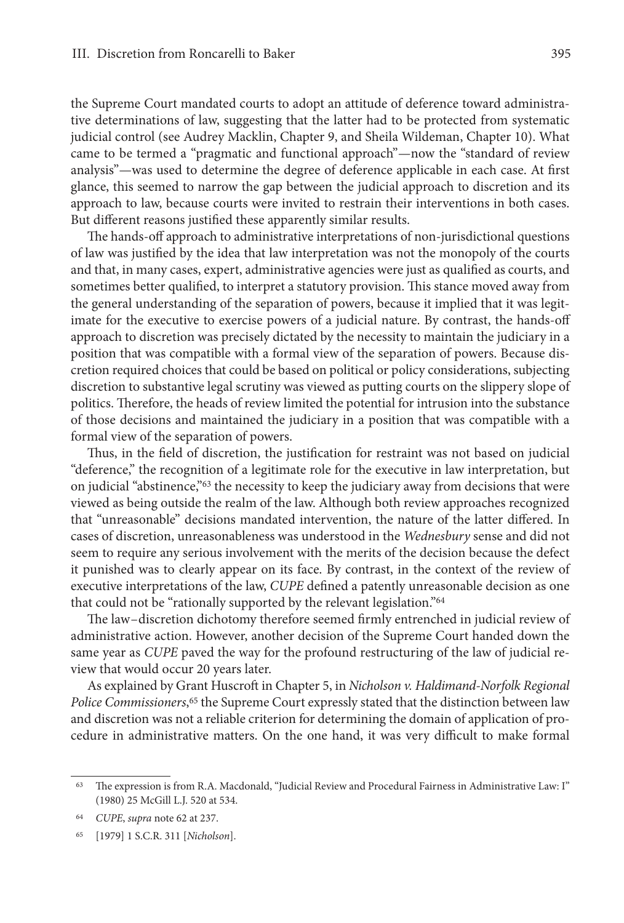the Supreme Court mandated courts to adopt an attitude of deference toward administrative determinations of law, suggesting that the latter had to be protected from systematic judicial control (see Audrey Macklin, Chapter 9, and Sheila Wildeman, Chapter 10). What came to be termed a "pragmatic and functional approach"—now the "standard of review analysis"—was used to determine the degree of deference applicable in each case. At first glance, this seemed to narrow the gap between the judicial approach to discretion and its approach to law, because courts were invited to restrain their interventions in both cases. But different reasons justified these apparently similar results.

The hands-off approach to administrative interpretations of non-jurisdictional questions of law was justified by the idea that law interpretation was not the monopoly of the courts and that, in many cases, expert, administrative agencies were just as qualified as courts, and sometimes better qualified, to interpret a statutory provision. This stance moved away from the general understanding of the separation of powers, because it implied that it was legitimate for the executive to exercise powers of a judicial nature. By contrast, the hands-off approach to discretion was precisely dictated by the necessity to maintain the judiciary in a position that was compatible with a formal view of the separation of powers. Because discretion required choices that could be based on political or policy considerations, subjecting discretion to substantive legal scrutiny was viewed as putting courts on the slippery slope of politics. Therefore, the heads of review limited the potential for intrusion into the substance of those decisions and maintained the judiciary in a position that was compatible with a formal view of the separation of powers.

Thus, in the field of discretion, the justification for restraint was not based on judicial "deference," the recognition of a legitimate role for the executive in law interpretation, but on judicial "abstinence,"63 the necessity to keep the judiciary away from decisions that were viewed as being outside the realm of the law. Although both review approaches recognized that "unreasonable" decisions mandated intervention, the nature of the latter differed. In cases of discretion, unreasonableness was understood in the *Wednesbury* sense and did not seem to require any serious involvement with the merits of the decision because the defect it punished was to clearly appear on its face. By contrast, in the context of the review of executive interpretations of the law, *CUPE* defined a patently unreasonable decision as one that could not be "rationally supported by the relevant legislation."64

The law–discretion dichotomy therefore seemed firmly entrenched in judicial review of administrative action. However, another decision of the Supreme Court handed down the same year as *CUPE* paved the way for the profound restructuring of the law of judicial review that would occur 20 years later.

As explained by Grant Huscroft in Chapter 5, in *Nicholson v. Haldimand-Norfolk Regional Police Commissioners*, <sup>65</sup> the Supreme Court expressly stated that the distinction between law and discretion was not a reliable criterion for determining the domain of application of procedure in administrative matters. On the one hand, it was very difficult to make formal

<sup>63</sup> The expression is from R.A. Macdonald, "Judicial Review and Procedural Fairness in Administrative Law: I" (1980) 25 McGill L.J. 520 at 534.

<sup>64</sup> *CUPE*, *supra* note 62 at 237.

<sup>65 [1979]</sup> 1 S.C.R. 311 [*Nicholson*].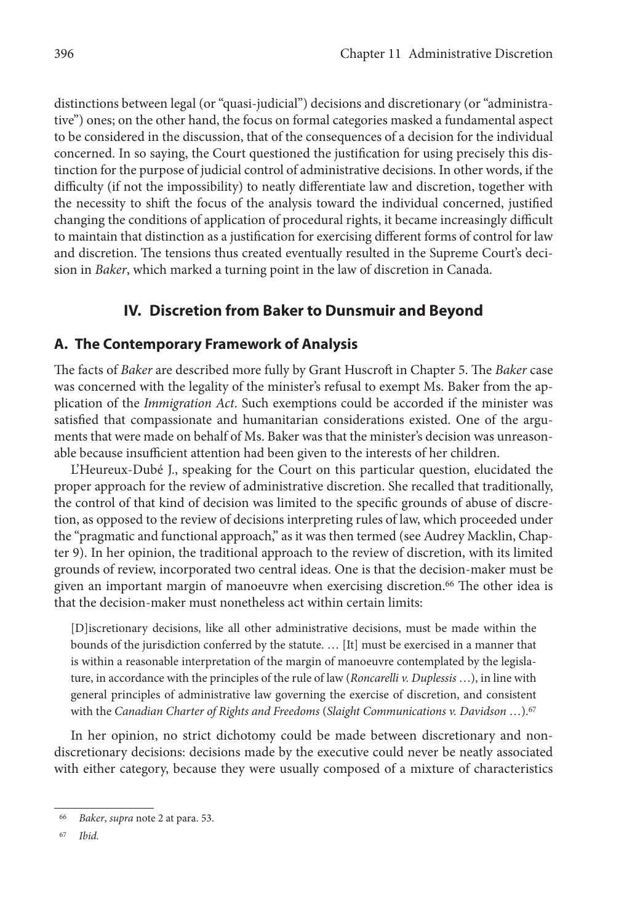<span id="page-15-0"></span>distinctions between legal (or "quasi-judicial") decisions and discretionary (or "administrative") ones; on the other hand, the focus on formal categories masked a fundamental aspect to be considered in the discussion, that of the consequences of a decision for the individual concerned. In so saying, the Court questioned the justification for using precisely this distinction for the purpose of judicial control of administrative decisions. In other words, if the difficulty (if not the impossibility) to neatly differentiate law and discretion, together with the necessity to shift the focus of the analysis toward the individual concerned, justified changing the conditions of application of procedural rights, it became increasingly difficult to maintain that distinction as a justification for exercising different forms of control for law and discretion. The tensions thus created eventually resulted in the Supreme Court's decision in *Baker*, which marked a turning point in the law of discretion in Canada.

# **IV. Discretion from Baker to Dunsmuir and Beyond**

# **A. The Contemporary Framework of Analysis**

The facts of *Baker* are described more fully by Grant Huscroft in Chapter 5. The *Baker* case was concerned with the legality of the minister's refusal to exempt Ms. Baker from the application of the *Immigration Act*. Such exemptions could be accorded if the minister was satisfied that compassionate and humanitarian considerations existed. One of the arguments that were made on behalf of Ms. Baker was that the minister's decision was unreasonable because insufficient attention had been given to the interests of her children.

L'Heureux-Dubé J., speaking for the Court on this particular question, elucidated the proper approach for the review of administrative discretion. She recalled that traditionally, the control of that kind of decision was limited to the specific grounds of abuse of discretion, as opposed to the review of decisions interpreting rules of law, which proceeded under the "pragmatic and functional approach," as it was then termed (see Audrey Macklin, Chapter 9). In her opinion, the traditional approach to the review of discretion, with its limited grounds of review, incorporated two central ideas. One is that the decision-maker must be given an important margin of manoeuvre when exercising discretion.66 The other idea is that the decision-maker must nonetheless act within certain limits:

[D]iscretionary decisions, like all other administrative decisions, must be made within the bounds of the jurisdiction conferred by the statute. … [It] must be exercised in a manner that is within a reasonable interpretation of the margin of manoeuvre contemplated by the legislature, in accordance with the principles of the rule of law (*Roncarelli v. Duplessis* …), in line with general principles of administrative law governing the exercise of discretion, and consistent with the *Canadian Charter of Rights and Freedoms* (*Slaight Communications v. Davidson* …).67

In her opinion, no strict dichotomy could be made between discretionary and nondiscretionary decisions: decisions made by the executive could never be neatly associated with either category, because they were usually composed of a mixture of characteristics

<sup>66</sup> *Baker*, *supra* note 2 at para. 53.

<sup>67</sup> *Ibid.*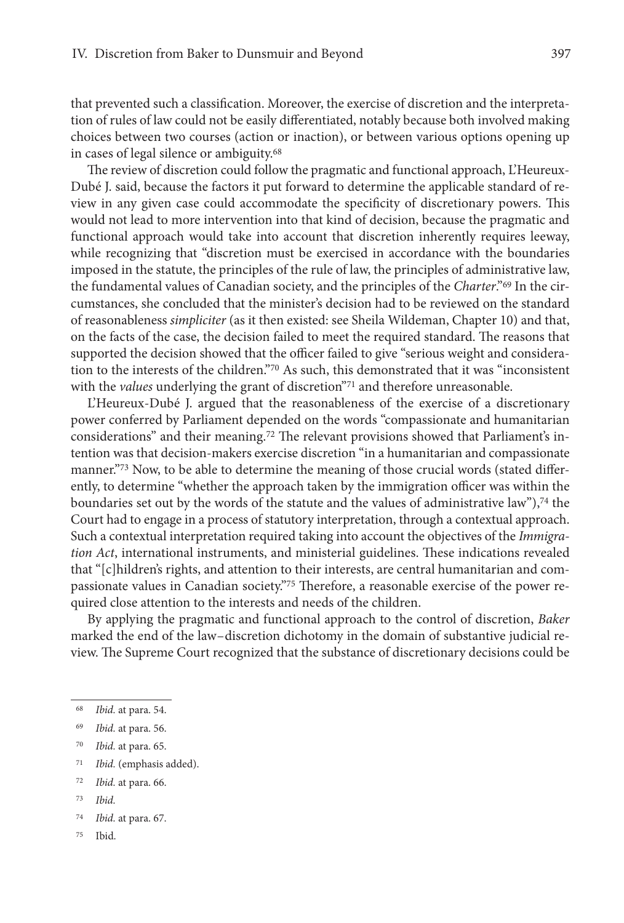that prevented such a classification. Moreover, the exercise of discretion and the interpretation of rules of law could not be easily differentiated, notably because both involved making choices between two courses (action or inaction), or between various options opening up in cases of legal silence or ambiguity.68

The review of discretion could follow the pragmatic and functional approach, L'Heureux-Dubé J. said, because the factors it put forward to determine the applicable standard of review in any given case could accommodate the specificity of discretionary powers. This would not lead to more intervention into that kind of decision, because the pragmatic and functional approach would take into account that discretion inherently requires leeway, while recognizing that "discretion must be exercised in accordance with the boundaries imposed in the statute, the principles of the rule of law, the principles of administrative law, the fundamental values of Canadian society, and the principles of the *Charter*."69 In the circumstances, she concluded that the minister's decision had to be reviewed on the standard of reasonableness *simpliciter* (as it then existed: see Sheila Wildeman, Chapter 10) and that, on the facts of the case, the decision failed to meet the required standard. The reasons that supported the decision showed that the officer failed to give "serious weight and consideration to the interests of the children."70 As such, this demonstrated that it was "inconsistent with the *values* underlying the grant of discretion"71 and therefore unreasonable.

L'Heureux-Dubé J. argued that the reasonableness of the exercise of a discretionary power conferred by Parliament depended on the words "compassionate and humanitarian considerations" and their meaning.72 The relevant provisions showed that Parliament's intention was that decision-makers exercise discretion "in a humanitarian and compassionate manner."73 Now, to be able to determine the meaning of those crucial words (stated differently, to determine "whether the approach taken by the immigration officer was within the boundaries set out by the words of the statute and the values of administrative law"),74 the Court had to engage in a process of statutory interpretation, through a contextual approach. Such a contextual interpretation required taking into account the objectives of the *Immigration Act*, international instruments, and ministerial guidelines. These indications revealed that "[c]hildren's rights, and attention to their interests, are central humanitarian and compassionate values in Canadian society."<sup>75</sup> Therefore, a reasonable exercise of the power required close attention to the interests and needs of the children.

By applying the pragmatic and functional approach to the control of discretion, *Baker* marked the end of the law–discretion dichotomy in the domain of substantive judicial review. The Supreme Court recognized that the substance of discretionary decisions could be

- <sup>70</sup> *Ibid.* at para. 65.
- <sup>71</sup> *Ibid.* (emphasis added).
- <sup>72</sup> *Ibid.* at para. 66.
- <sup>73</sup> *Ibid.*
- <sup>74</sup> *Ibid.* at para. 67.
- 75 Ibid.

<sup>68</sup> *Ibid.* at para. 54.

<sup>69</sup> *Ibid.* at para. 56.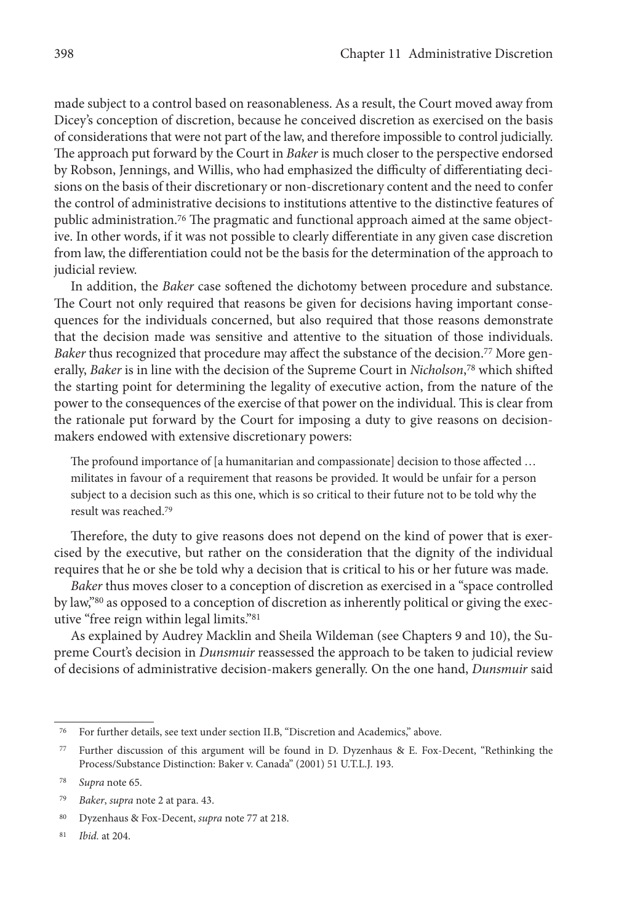made subject to a control based on reasonableness. As a result, the Court moved away from Dicey's conception of discretion, because he conceived discretion as exercised on the basis of considerations that were not part of the law, and therefore impossible to control judicially. The approach put forward by the Court in *Baker* is much closer to the perspective endorsed by Robson, Jennings, and Willis, who had emphasized the difficulty of differentiating decisions on the basis of their discretionary or non-discretionary content and the need to confer the control of administrative decisions to institutions attentive to the distinctive features of public administration.76 The pragmatic and functional approach aimed at the same objective. In other words, if it was not possible to clearly differentiate in any given case discretion from law, the differentiation could not be the basis for the determination of the approach to judicial review.

In addition, the *Baker* case softened the dichotomy between procedure and substance. The Court not only required that reasons be given for decisions having important consequences for the individuals concerned, but also required that those reasons demonstrate that the decision made was sensitive and attentive to the situation of those individuals. *Baker* thus recognized that procedure may affect the substance of the decision.<sup>77</sup> More generally, *Baker* is in line with the decision of the Supreme Court in *Nicholson*, <sup>78</sup> which shifted the starting point for determining the legality of executive action, from the nature of the power to the consequences of the exercise of that power on the individual. This is clear from the rationale put forward by the Court for imposing a duty to give reasons on decisionmakers endowed with extensive discretionary powers:

The profound importance of [a humanitarian and compassionate] decision to those affected … militates in favour of a requirement that reasons be provided. It would be unfair for a person subject to a decision such as this one, which is so critical to their future not to be told why the result was reached.79

Therefore, the duty to give reasons does not depend on the kind of power that is exercised by the executive, but rather on the consideration that the dignity of the individual requires that he or she be told why a decision that is critical to his or her future was made.

*Baker* thus moves closer to a conception of discretion as exercised in a "space controlled by law,"80 as opposed to a conception of discretion as inherently political or giving the executive "free reign within legal limits."81

As explained by Audrey Macklin and Sheila Wildeman (see Chapters 9 and 10), the Supreme Court's decision in *Dunsmuir* reassessed the approach to be taken to judicial review of decisions of administrative decision-makers generally. On the one hand, *Dunsmuir* said

<sup>76</sup> For further details, see text under section II.B, "Discretion and Academics," above.

<sup>77</sup> Further discussion of this argument will be found in D. Dyzenhaus & E. Fox-Decent, "Rethinking the Process/Substance Distinction: Baker v. Canada" (2001) 51 U.T.L.J. 193.

<sup>78</sup> *Supra* note 65.

<sup>79</sup> *Baker*, *supra* note 2 at para. 43.

<sup>80</sup> Dyzenhaus & Fox-Decent, *supra* note 77 at 218.

<sup>81</sup> *Ibid.* at 204.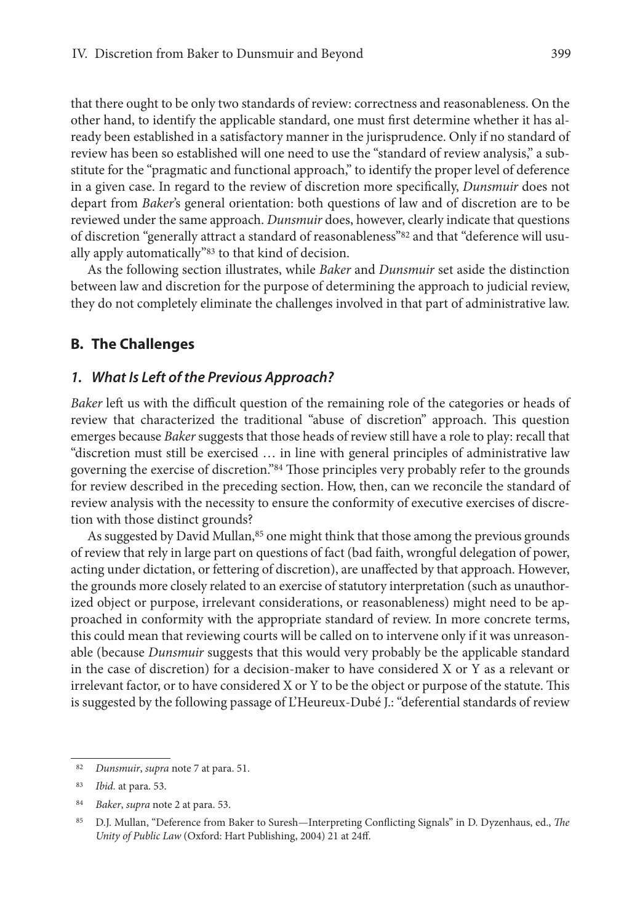<span id="page-18-0"></span>that there ought to be only two standards of review: correctness and reasonableness. On the other hand, to identify the applicable standard, one must first determine whether it has already been established in a satisfactory manner in the jurisprudence. Only if no standard of review has been so established will one need to use the "standard of review analysis," a substitute for the "pragmatic and functional approach," to identify the proper level of deference in a given case. In regard to the review of discretion more specifically, *Dunsmuir* does not depart from *Baker*'s general orientation: both questions of law and of discretion are to be reviewed under the same approach. *Dunsmuir* does, however, clearly indicate that questions of discretion "generally attract a standard of reasonableness"82 and that "deference will usually apply automatically"83 to that kind of decision.

As the following section illustrates, while *Baker* and *Dunsmuir* set aside the distinction between law and discretion for the purpose of determining the approach to judicial review, they do not completely eliminate the challenges involved in that part of administrative law.

#### **B. The Challenges**

#### *1. What Is Left of the Previous Approach?*

*Baker* left us with the difficult question of the remaining role of the categories or heads of review that characterized the traditional "abuse of discretion" approach. This question emerges because *Baker* suggests that those heads of review still have a role to play: recall that "discretion must still be exercised … in line with general principles of administrative law governing the exercise of discretion."84 Those principles very probably refer to the grounds for review described in the preceding section. How, then, can we reconcile the standard of review analysis with the necessity to ensure the conformity of executive exercises of discretion with those distinct grounds?

As suggested by David Mullan,<sup>85</sup> one might think that those among the previous grounds of review that rely in large part on questions of fact (bad faith, wrongful delegation of power, acting under dictation, or fettering of discretion), are unaffected by that approach. However, the grounds more closely related to an exercise of statutory interpretation (such as unauthorized object or purpose, irrelevant considerations, or reasonableness) might need to be approached in conformity with the appropriate standard of review. In more concrete terms, this could mean that reviewing courts will be called on to intervene only if it was unreasonable (because *Dunsmuir* suggests that this would very probably be the applicable standard in the case of discretion) for a decision-maker to have considered X or Y as a relevant or irrelevant factor, or to have considered X or Y to be the object or purpose of the statute. This is suggested by the following passage of L'Heureux-Dubé J.: "deferential standards of review

<sup>82</sup> *Dunsmuir*, *supra* note 7 at para. 51.

<sup>83</sup> *Ibid.* at para. 53.

<sup>84</sup> *Baker*, *supra* note 2 at para. 53.

<sup>85</sup> D.J. Mullan, "Deference from Baker to Suresh—Interpreting Conflicting Signals" in D. Dyzenhaus, ed., *The Unity of Public Law* (Oxford: Hart Publishing, 2004) 21 at 24ff.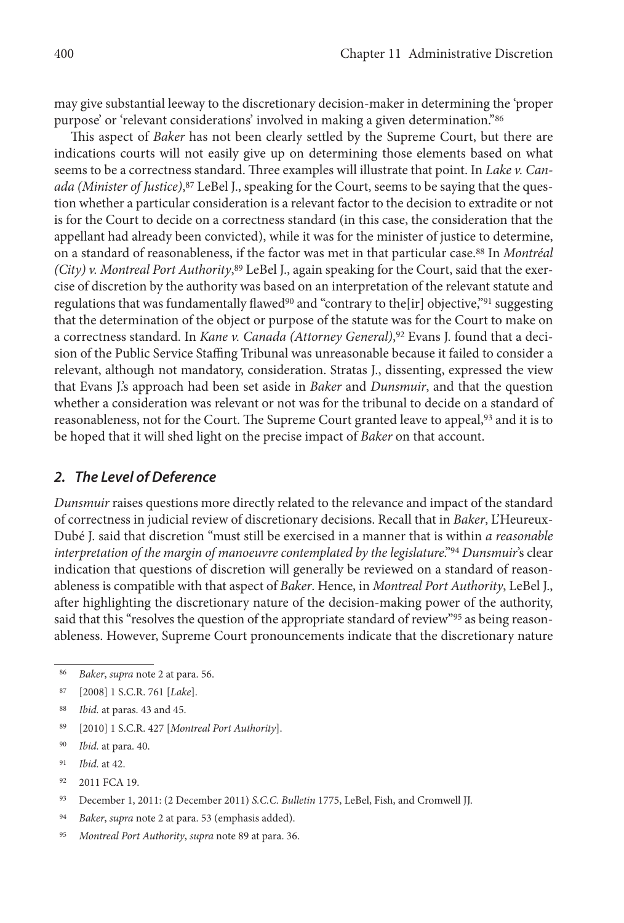<span id="page-19-0"></span>may give substantial leeway to the discretionary decision-maker in determining the 'proper purpose' or 'relevant considerations' involved in making a given determination."86

This aspect of *Baker* has not been clearly settled by the Supreme Court, but there are indications courts will not easily give up on determining those elements based on what seems to be a correctness standard. Three examples will illustrate that point. In *Lake v. Canada (Minister of Justice)*, <sup>87</sup> LeBel J., speaking for the Court, seems to be saying that the question whether a particular consideration is a relevant factor to the decision to extradite or not is for the Court to decide on a correctness standard (in this case, the consideration that the appellant had already been convicted), while it was for the minister of justice to determine, on a standard of reasonableness, if the factor was met in that particular case.88 In *Montréal (City) v. Montreal Port Authority*, <sup>89</sup> LeBel J., again speaking for the Court, said that the exercise of discretion by the authority was based on an interpretation of the relevant statute and regulations that was fundamentally flawed<sup>90</sup> and "contrary to the[ir] objective,"<sup>91</sup> suggesting that the determination of the object or purpose of the statute was for the Court to make on a correctness standard. In *Kane v. Canada (Attorney General)*, <sup>92</sup> Evans J. found that a decision of the Public Service Staffing Tribunal was unreasonable because it failed to consider a relevant, although not mandatory, consideration. Stratas J., dissenting, expressed the view that Evans J.'s approach had been set aside in *Baker* and *Dunsmuir*, and that the question whether a consideration was relevant or not was for the tribunal to decide on a standard of reasonableness, not for the Court. The Supreme Court granted leave to appeal,93 and it is to be hoped that it will shed light on the precise impact of *Baker* on that account.

# *2. The Level of Deference*

*Dunsmuir* raises questions more directly related to the relevance and impact of the standard of correctness in judicial review of discretionary decisions. Recall that in *Baker*, L'Heureux-Dubé J. said that discretion "must still be exercised in a manner that is within *a reasonable interpretation of the margin of manoeuvre contemplated by the legislature*."94 *Dunsmuir*'s clear indication that questions of discretion will generally be reviewed on a standard of reasonableness is compatible with that aspect of *Baker*. Hence, in *Montreal Port Authority*, LeBel J., after highlighting the discretionary nature of the decision-making power of the authority, said that this "resolves the question of the appropriate standard of review"<sup>95</sup> as being reasonableness. However, Supreme Court pronouncements indicate that the discretionary nature

92 2011 FCA 19.

<sup>86</sup> *Baker*, *supra* note 2 at para. 56.

<sup>87 [2008]</sup> 1 S.C.R. 761 [*Lake*].

<sup>88</sup> *Ibid.* at paras. 43 and 45.

<sup>89 [2010]</sup> 1 S.C.R. 427 [*Montreal Port Authority*].

<sup>90</sup> *Ibid.* at para. 40.

<sup>91</sup> *Ibid.* at 42.

<sup>93</sup> December 1, 2011: (2 December 2011) *S.C.C. Bulletin* 1775, LeBel, Fish, and Cromwell JJ.

<sup>94</sup> *Baker*, *supra* note 2 at para. 53 (emphasis added).

<sup>95</sup> *Montreal Port Authority*, *supra* note 89 at para. 36.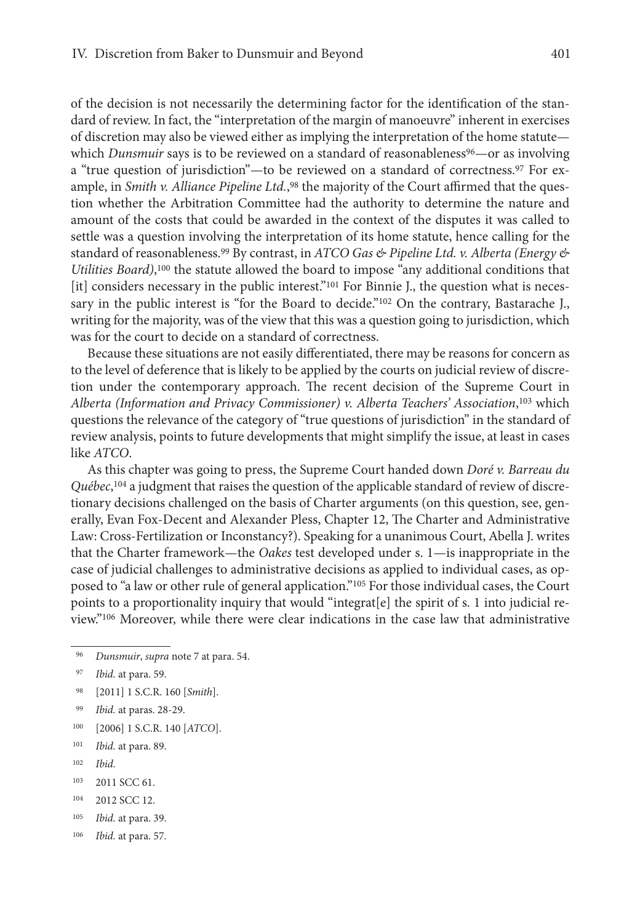of the decision is not necessarily the determining factor for the identification of the standard of review. In fact, the "interpretation of the margin of manoeuvre" inherent in exercises of discretion may also be viewed either as implying the interpretation of the home statute which *Dunsmuir* says is to be reviewed on a standard of reasonableness<sup>96</sup>—or as involving a "true question of jurisdiction"—to be reviewed on a standard of correctness.<sup>97</sup> For example, in *Smith v. Alliance Pipeline Ltd*.,<sup>98</sup> the majority of the Court affirmed that the question whether the Arbitration Committee had the authority to determine the nature and amount of the costs that could be awarded in the context of the disputes it was called to settle was a question involving the interpretation of its home statute, hence calling for the standard of reasonableness.99 By contrast, in *ATCO Gas & Pipeline Ltd. v. Alberta (Energy & Utilities Board)*, <sup>100</sup> the statute allowed the board to impose "any additional conditions that [it] considers necessary in the public interest."101 For Binnie J., the question what is necessary in the public interest is "for the Board to decide."<sup>102</sup> On the contrary, Bastarache J., writing for the majority, was of the view that this was a question going to jurisdiction, which was for the court to decide on a standard of correctness.

Because these situations are not easily differentiated, there may be reasons for concern as to the level of deference that is likely to be applied by the courts on judicial review of discretion under the contemporary approach. The recent decision of the Supreme Court in *Alberta (Information and Privacy Commissioner) v. Alberta Teachers' Association*, <sup>103</sup> which questions the relevance of the category of "true questions of jurisdiction" in the standard of review analysis, points to future developments that might simplify the issue, at least in cases like *ATCO*.

As this chapter was going to press, the Supreme Court handed down *Doré v. Barreau du Québec*, <sup>104</sup> a judgment that raises the question of the applicable standard of review of discretionary decisions challenged on the basis of Charter arguments (on this question, see, generally, Evan Fox-Decent and Alexander Pless, Chapter 12, The Charter and Administrative Law: Cross-Fertilization or Inconstancy?). Speaking for a unanimous Court, Abella J. writes that the Charter framework—the *Oakes* test developed under s. 1—is inappropriate in the case of judicial challenges to administrative decisions as applied to individual cases, as opposed to "a law or other rule of general application."105 For those individual cases, the Court points to a proportionality inquiry that would "integrat[e] the spirit of s. 1 into judicial review."106 Moreover, while there were clear indications in the case law that administrative

- 103 2011 SCC 61.
- 104 2012 SCC 12.
- <sup>105</sup> *Ibid.* at para. 39.
- <sup>106</sup> *Ibid.* at para. 57.

<sup>96</sup> *Dunsmuir*, *supra* note 7 at para. 54.

<sup>97</sup> *Ibid.* at para. 59.

<sup>98 [2011]</sup> 1 S.C.R. 160 [*Smith*].

<sup>99</sup> *Ibid.* at paras. 28-29.

<sup>100 [2006]</sup> 1 S.C.R. 140 [*ATCO*].

<sup>101</sup> *Ibid.* at para. 89.

<sup>102</sup> *Ibid.*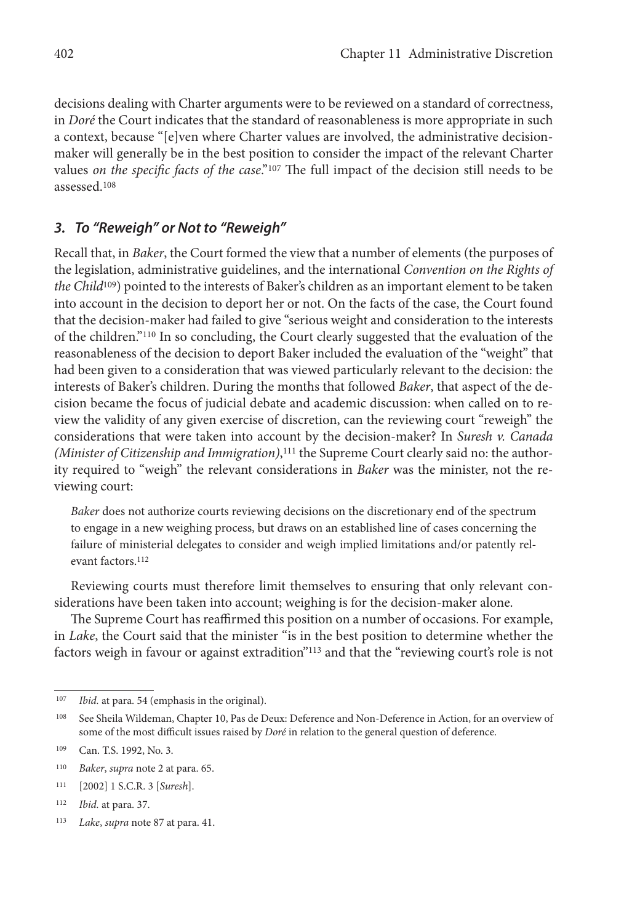<span id="page-21-0"></span>decisions dealing with Charter arguments were to be reviewed on a standard of correctness, in *Doré* the Court indicates that the standard of reasonableness is more appropriate in such a context, because "[e]ven where Charter values are involved, the administrative decisionmaker will generally be in the best position to consider the impact of the relevant Charter values *on the specific facts of the case*."107 The full impact of the decision still needs to be assessed.108

# *3. To "Reweigh" or Not to "Reweigh"*

Recall that, in *Baker*, the Court formed the view that a number of elements (the purposes of the legislation, administrative guidelines, and the international *Convention on the Rights of the Child*109) pointed to the interests of Baker's children as an important element to be taken into account in the decision to deport her or not. On the facts of the case, the Court found that the decision-maker had failed to give "serious weight and consideration to the interests of the children."110 In so concluding, the Court clearly suggested that the evaluation of the reasonableness of the decision to deport Baker included the evaluation of the "weight" that had been given to a consideration that was viewed particularly relevant to the decision: the interests of Baker's children. During the months that followed *Baker*, that aspect of the decision became the focus of judicial debate and academic discussion: when called on to review the validity of any given exercise of discretion, can the reviewing court "reweigh" the considerations that were taken into account by the decision-maker? In *Suresh v. Canada (Minister of Citizenship and Immigration)*, <sup>111</sup> the Supreme Court clearly said no: the authority required to "weigh" the relevant considerations in *Baker* was the minister, not the reviewing court:

*Baker* does not authorize courts reviewing decisions on the discretionary end of the spectrum to engage in a new weighing process, but draws on an established line of cases concerning the failure of ministerial delegates to consider and weigh implied limitations and/or patently relevant factors.112

Reviewing courts must therefore limit themselves to ensuring that only relevant considerations have been taken into account; weighing is for the decision-maker alone.

The Supreme Court has reaffirmed this position on a number of occasions. For example, in *Lake*, the Court said that the minister "is in the best position to determine whether the factors weigh in favour or against extradition"<sup>113</sup> and that the "reviewing court's role is not

<sup>107</sup> *Ibid.* at para. 54 (emphasis in the original).

<sup>108</sup> See Sheila Wildeman, Chapter 10, Pas de Deux: Deference and Non-Deference in Action, for an overview of some of the most difficult issues raised by *Doré* in relation to the general question of deference.

<sup>109</sup> Can. T.S. 1992, No. 3.

<sup>110</sup> *Baker*, *supra* note 2 at para. 65.

<sup>111 [2002]</sup> 1 S.C.R. 3 [*Suresh*].

<sup>112</sup> *Ibid.* at para. 37.

<sup>113</sup> *Lake*, *supra* note 87 at para. 41.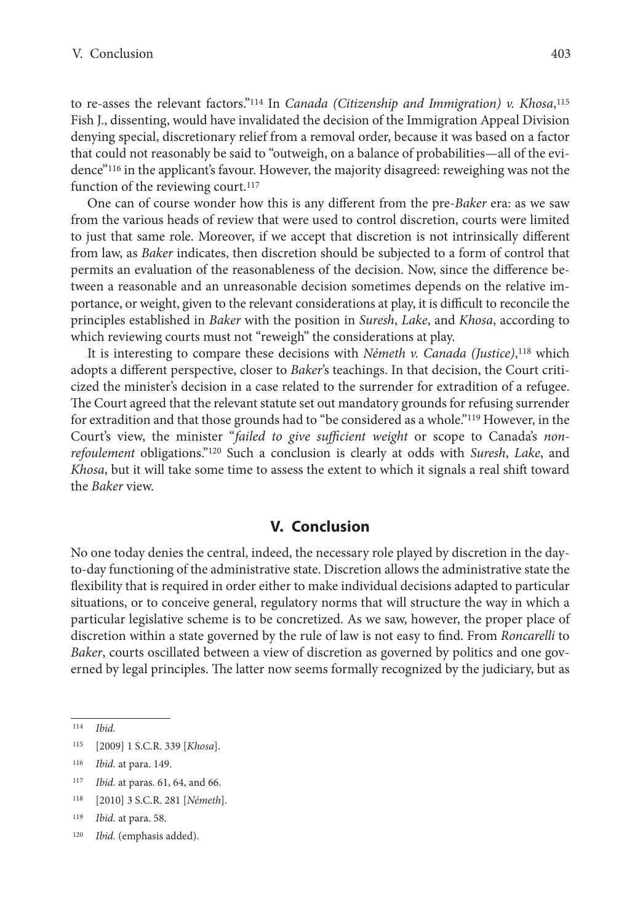<span id="page-22-0"></span>to re-asses the relevant factors."114 In *Canada (Citizenship and Immigration) v. Khosa*, 115 Fish J., dissenting, would have invalidated the decision of the Immigration Appeal Division denying special, discretionary relief from a removal order, because it was based on a factor that could not reasonably be said to "outweigh, on a balance of probabilities—all of the evidence"116 in the applicant's favour. However, the majority disagreed: reweighing was not the function of the reviewing court.<sup>117</sup>

One can of course wonder how this is any different from the pre-*Baker* era: as we saw from the various heads of review that were used to control discretion, courts were limited to just that same role. Moreover, if we accept that discretion is not intrinsically different from law, as *Baker* indicates, then discretion should be subjected to a form of control that permits an evaluation of the reasonableness of the decision. Now, since the difference between a reasonable and an unreasonable decision sometimes depends on the relative importance, or weight, given to the relevant considerations at play, it is difficult to reconcile the principles established in *Baker* with the position in *Suresh*, *Lake*, and *Khosa*, according to which reviewing courts must not "reweigh" the considerations at play.

It is interesting to compare these decisions with *Németh v. Canada (Justice)*, <sup>118</sup> which adopts a different perspective, closer to *Baker*'s teachings. In that decision, the Court criticized the minister's decision in a case related to the surrender for extradition of a refugee. The Court agreed that the relevant statute set out mandatory grounds for refusing surrender for extradition and that those grounds had to "be considered as a whole."119 However, in the Court's view, the minister "*failed to give sufficient weight* or scope to Canada's *nonrefoulement* obligations."120 Such a conclusion is clearly at odds with *Suresh*, *Lake*, and *Khosa*, but it will take some time to assess the extent to which it signals a real shift toward the *Baker* view.

# **V. Conclusion**

No one today denies the central, indeed, the necessary role played by discretion in the dayto-day functioning of the administrative state. Discretion allows the administrative state the flexibility that is required in order either to make individual decisions adapted to particular situations, or to conceive general, regulatory norms that will structure the way in which a particular legislative scheme is to be concretized. As we saw, however, the proper place of discretion within a state governed by the rule of law is not easy to find. From *Roncarelli* to *Baker*, courts oscillated between a view of discretion as governed by politics and one governed by legal principles. The latter now seems formally recognized by the judiciary, but as

<sup>114</sup> *Ibid.*

<sup>115 [2009]</sup> 1 S.C.R. 339 [*Khosa*].

<sup>116</sup> *Ibid.* at para. 149.

<sup>117</sup> *Ibid.* at paras. 61, 64, and 66.

<sup>118 [2010]</sup> 3 S.C.R. 281 [*Németh*].

<sup>119</sup> *Ibid.* at para. 58.

<sup>120</sup> *Ibid.* (emphasis added).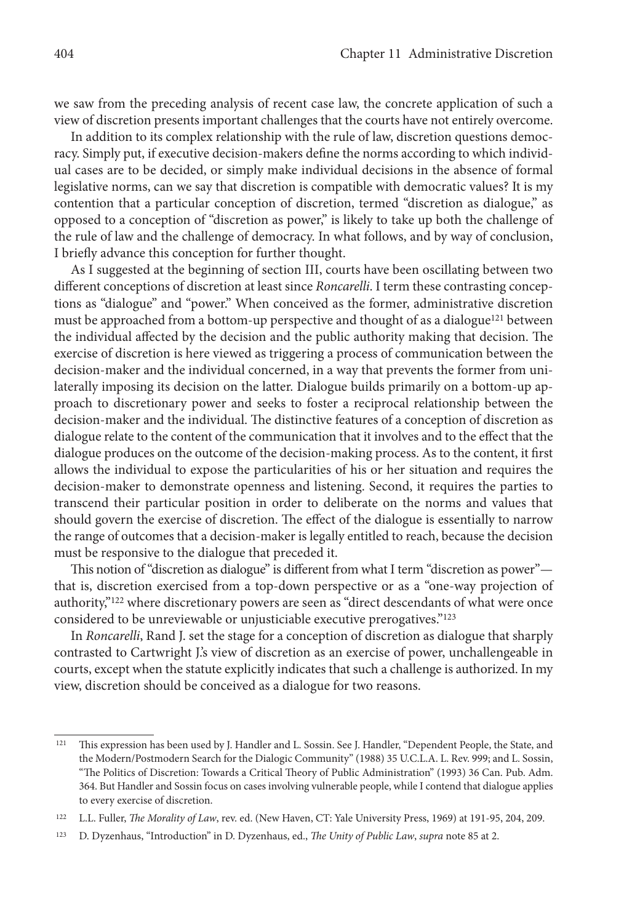we saw from the preceding analysis of recent case law, the concrete application of such a view of discretion presents important challenges that the courts have not entirely overcome.

In addition to its complex relationship with the rule of law, discretion questions democracy. Simply put, if executive decision-makers define the norms according to which individual cases are to be decided, or simply make individual decisions in the absence of formal legislative norms, can we say that discretion is compatible with democratic values? It is my contention that a particular conception of discretion, termed "discretion as dialogue," as opposed to a conception of "discretion as power," is likely to take up both the challenge of the rule of law and the challenge of democracy. In what follows, and by way of conclusion, I briefly advance this conception for further thought.

As I suggested at the beginning of section III, courts have been oscillating between two different conceptions of discretion at least since *Roncarelli*. I term these contrasting conceptions as "dialogue" and "power." When conceived as the former, administrative discretion must be approached from a bottom-up perspective and thought of as a dialogue<sup>121</sup> between the individual affected by the decision and the public authority making that decision. The exercise of discretion is here viewed as triggering a process of communication between the decision-maker and the individual concerned, in a way that prevents the former from unilaterally imposing its decision on the latter. Dialogue builds primarily on a bottom-up approach to discretionary power and seeks to foster a reciprocal relationship between the decision-maker and the individual. The distinctive features of a conception of discretion as dialogue relate to the content of the communication that it involves and to the effect that the dialogue produces on the outcome of the decision-making process. As to the content, it first allows the individual to expose the particularities of his or her situation and requires the decision-maker to demonstrate openness and listening. Second, it requires the parties to transcend their particular position in order to deliberate on the norms and values that should govern the exercise of discretion. The effect of the dialogue is essentially to narrow the range of outcomes that a decision-maker is legally entitled to reach, because the decision must be responsive to the dialogue that preceded it.

This notion of "discretion as dialogue" is different from what I term "discretion as power" that is, discretion exercised from a top-down perspective or as a "one-way projection of authority,"122 where discretionary powers are seen as "direct descendants of what were once considered to be unreviewable or unjusticiable executive prerogatives."123

In *Roncarelli*, Rand J. set the stage for a conception of discretion as dialogue that sharply contrasted to Cartwright J.'s view of discretion as an exercise of power, unchallengeable in courts, except when the statute explicitly indicates that such a challenge is authorized. In my view, discretion should be conceived as a dialogue for two reasons.

<sup>121</sup> This expression has been used by J. Handler and L. Sossin. See J. Handler, "Dependent People, the State, and the Modern/Postmodern Search for the Dialogic Community" (1988) 35 U.C.L.A. L. Rev. 999; and L. Sossin, "The Politics of Discretion: Towards a Critical Theory of Public Administration" (1993) 36 Can. Pub. Adm. 364. But Handler and Sossin focus on cases involving vulnerable people, while I contend that dialogue applies to every exercise of discretion.

<sup>&</sup>lt;sup>122</sup> L.L. Fuller, *The Morality of Law*, rev. ed. (New Haven, CT: Yale University Press, 1969) at 191-95, 204, 209.

<sup>123</sup> D. Dyzenhaus, "Introduction" in D. Dyzenhaus, ed., *The Unity of Public Law*, *supra* note 85 at 2.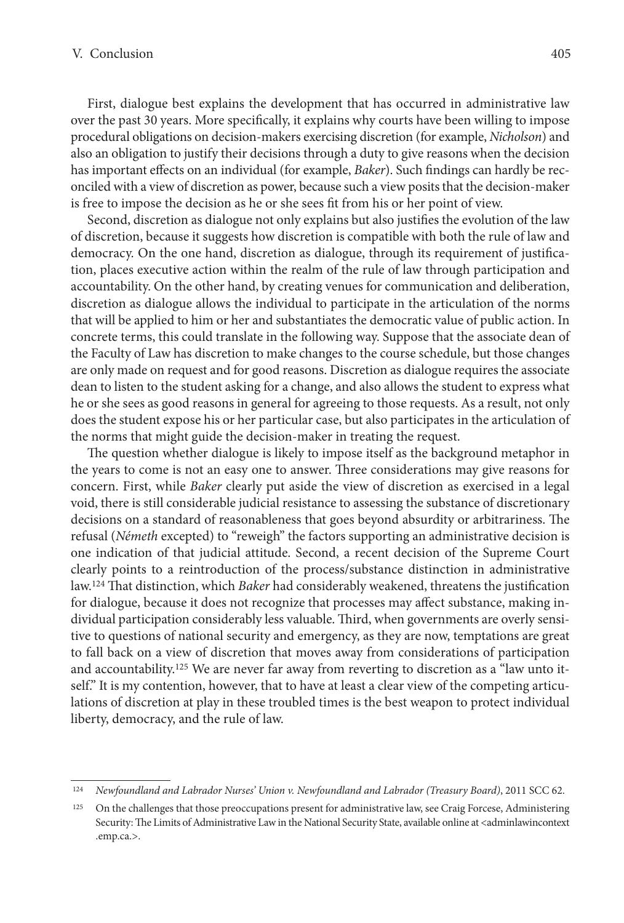First, dialogue best explains the development that has occurred in administrative law over the past 30 years. More specifically, it explains why courts have been willing to impose procedural obligations on decision-makers exercising discretion (for example, *Nicholson*) and also an obligation to justify their decisions through a duty to give reasons when the decision has important effects on an individual (for example, *Baker*). Such findings can hardly be reconciled with a view of discretion as power, because such a view positsthat the decision-maker is free to impose the decision as he or she sees fit from his or her point of view.

Second, discretion as dialogue not only explains but also justifies the evolution of the law of discretion, because it suggests how discretion is compatible with both the rule of law and democracy. On the one hand, discretion as dialogue, through its requirement of justification, places executive action within the realm of the rule of law through participation and accountability. On the other hand, by creating venues for communication and deliberation, discretion as dialogue allows the individual to participate in the articulation of the norms that will be applied to him or her and substantiates the democratic value of public action. In concrete terms, this could translate in the following way. Suppose that the associate dean of the Faculty of Law has discretion to make changes to the course schedule, but those changes are only made on request and for good reasons. Discretion as dialogue requires the associate dean to listen to the student asking for a change, and also allows the student to express what he or she sees as good reasons in general for agreeing to those requests. As a result, not only does the student expose his or her particular case, but also participates in the articulation of the norms that might guide the decision-maker in treating the request.

The question whether dialogue is likely to impose itself as the background metaphor in the years to come is not an easy one to answer. Three considerations may give reasons for concern. First, while *Baker* clearly put aside the view of discretion as exercised in a legal void, there is still considerable judicial resistance to assessing the substance of discretionary decisions on a standard of reasonableness that goes beyond absurdity or arbitrariness. The refusal (*Németh* excepted) to "reweigh" the factors supporting an administrative decision is one indication of that judicial attitude. Second, a recent decision of the Supreme Court clearly points to a reintroduction of the process/substance distinction in administrative law.124 That distinction, which *Baker* had considerably weakened, threatens the justification for dialogue, because it does not recognize that processes may affect substance, making individual participation considerably less valuable. Third, when governments are overly sensitive to questions of national security and emergency, as they are now, temptations are great to fall back on a view of discretion that moves away from considerations of participation and accountability.125 We are never far away from reverting to discretion as a "law unto itself." It is my contention, however, that to have at least a clear view of the competing articulations of discretion at play in these troubled times is the best weapon to protect individual liberty, democracy, and the rule of law.

<sup>124</sup> *Newfoundland and Labrador Nurses' Union v. Newfoundland and Labrador (Treasury Board)*, 2011 SCC 62.

<sup>&</sup>lt;sup>125</sup> On the challenges that those preoccupations present for administrative law, see Craig Forcese, Administering Security: The Limits of Administrative Law in the National Security State, available online at [<adminlawincontext](http:www.adminlawincontext.emp.ca) [.emp.ca](http:www.adminlawincontext.emp.ca).>.